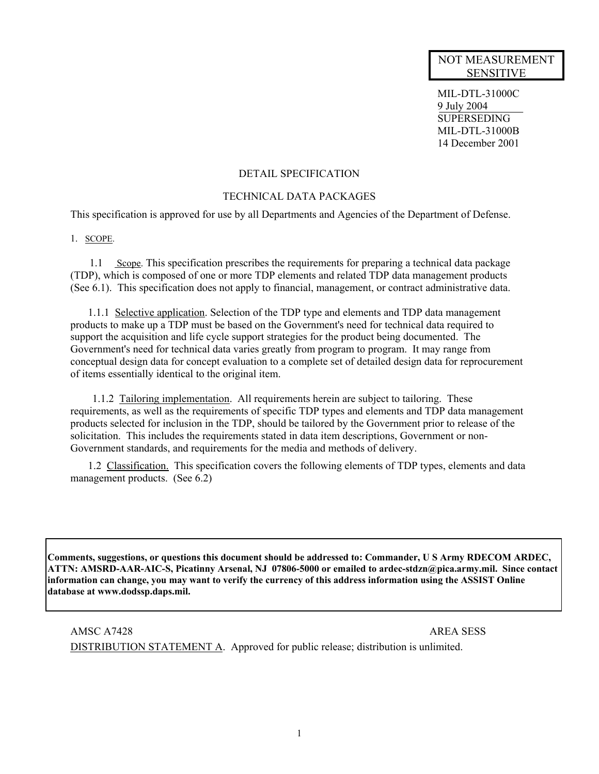## NOT MEASUREMENT SENSITIVE

MIL-DTL-31000C 9 July 2004 **SUPERSEDING** MIL-DTL-31000B 14 December 2001

### DETAIL SPECIFICATION

### TECHNICAL DATA PACKAGES

This specification is approved for use by all Departments and Agencies of the Department of Defense.

#### 1. SCOPE.

1.1 Scope. This specification prescribes the requirements for preparing a technical data package (TDP), which is composed of one or more TDP elements and related TDP data management products (See 6.1). This specification does not apply to financial, management, or contract administrative data.

1.1.1 Selective application. Selection of the TDP type and elements and TDP data management products to make up a TDP must be based on the Government's need for technical data required to support the acquisition and life cycle support strategies for the product being documented. The Government's need for technical data varies greatly from program to program. It may range from conceptual design data for concept evaluation to a complete set of detailed design data for reprocurement of items essentially identical to the original item.

1.1.2 Tailoring implementation. All requirements herein are subject to tailoring. These requirements, as well as the requirements of specific TDP types and elements and TDP data management products selected for inclusion in the TDP, should be tailored by the Government prior to release of the solicitation. This includes the requirements stated in data item descriptions, Government or non-Government standards, and requirements for the media and methods of delivery.

1.2 Classification. This specification covers the following elements of TDP types, elements and data management products. (See 6.2)

**Comments, suggestions, or questions this document should be addressed to: Commander, U S Army RDECOM ARDEC, ATTN: AMSRD-AAR-AIC-S, Picatinny Arsenal, NJ 07806-5000 or emailed to ardec-stdzn@pica.army.mil. Since contact information can change, you may want to verify the currency of this address information using the ASSIST Online database at www.dodssp.daps.mil.**

AMSC A7428 AREA SESS DISTRIBUTION STATEMENT A. Approved for public release; distribution is unlimited.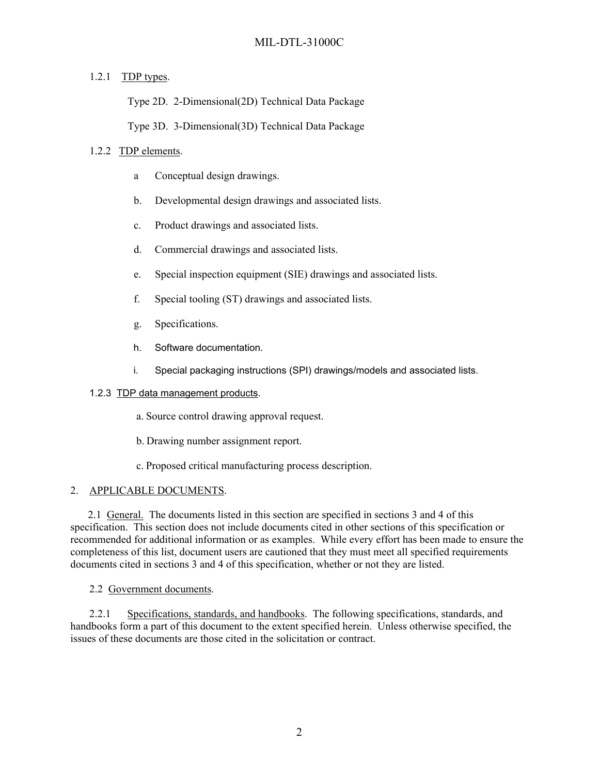# 1.2.1 TDP types.

Type 2D. 2-Dimensional(2D) Technical Data Package

Type 3D. 3-Dimensional(3D) Technical Data Package

## 1.2.2 TDP elements.

- a Conceptual design drawings.
- b. Developmental design drawings and associated lists.
- c. Product drawings and associated lists.
- d. Commercial drawings and associated lists.
- e. Special inspection equipment (SIE) drawings and associated lists.
- f. Special tooling (ST) drawings and associated lists.
- g. Specifications.
- h. Software documentation.
- i. Special packaging instructions (SPI) drawings/models and associated lists.

## 1.2.3 TDP data management products.

- a. Source control drawing approval request.
- b. Drawing number assignment report.
- c. Proposed critical manufacturing process description.

## 2. APPLICABLE DOCUMENTS.

2.1 General. The documents listed in this section are specified in sections 3 and 4 of this specification. This section does not include documents cited in other sections of this specification or recommended for additional information or as examples. While every effort has been made to ensure the completeness of this list, document users are cautioned that they must meet all specified requirements documents cited in sections 3 and 4 of this specification, whether or not they are listed.

## 2.2 Government documents.

2.2.1 Specifications, standards, and handbooks. The following specifications, standards, and handbooks form a part of this document to the extent specified herein. Unless otherwise specified, the issues of these documents are those cited in the solicitation or contract.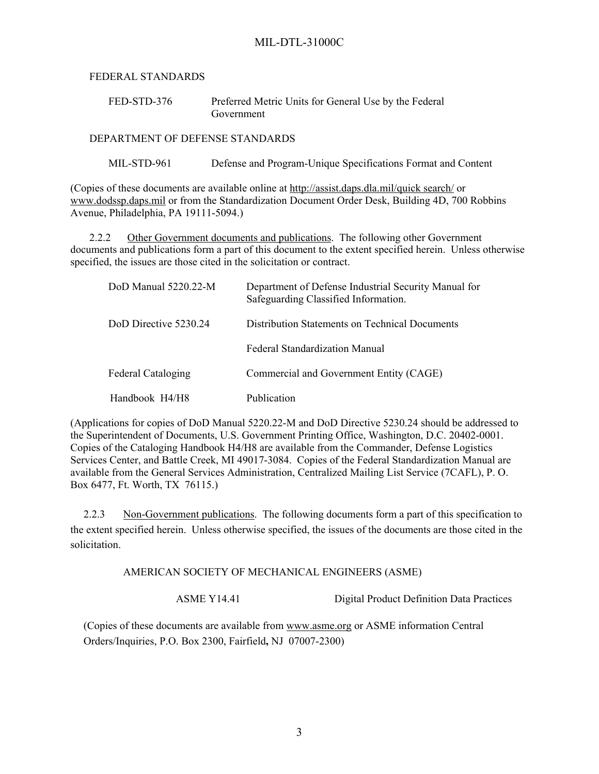FEDERAL STANDARDS

| FED-STD-376 | Preferred Metric Units for General Use by the Federal |
|-------------|-------------------------------------------------------|
|             | Government                                            |

DEPARTMENT OF DEFENSE STANDARDS

MIL-STD-961 Defense and Program-Unique Specifications Format and Content

(Copies of these documents are available online at <http://assist.daps.dla.mil/quick search/> or [www.dodssp.daps.mil](http://www.dodssp.daps.mil/) or from the Standardization Document Order Desk, Building 4D, 700 Robbins Avenue, Philadelphia, PA 19111-5094.)

2.2.2 Other Government documents and publications. The following other Government documents and publications form a part of this document to the extent specified herein. Unless otherwise specified, the issues are those cited in the solicitation or contract.

| DoD Manual $5220.22-M$    | Department of Defense Industrial Security Manual for<br>Safeguarding Classified Information. |
|---------------------------|----------------------------------------------------------------------------------------------|
| DoD Directive 5230 24     | <b>Distribution Statements on Technical Documents</b>                                        |
|                           | <b>Federal Standardization Manual</b>                                                        |
| <b>Federal Cataloging</b> | Commercial and Government Entity (CAGE)                                                      |
| Handbook H4/H8            | Publication                                                                                  |

(Applications for copies of DoD Manual 5220.22-M and DoD Directive 5230.24 should be addressed to the Superintendent of Documents, U.S. Government Printing Office, Washington, D.C. 20402-0001. Copies of the Cataloging Handbook H4/H8 are available from the Commander, Defense Logistics Services Center, and Battle Creek, MI 49017-3084. Copies of the Federal Standardization Manual are available from the General Services Administration, Centralized Mailing List Service (7CAFL), P. O. Box 6477, Ft. Worth, TX 76115.)

2.2.3 Non-Government publications. The following documents form a part of this specification to the extent specified herein. Unless otherwise specified, the issues of the documents are those cited in the solicitation.

AMERICAN SOCIETY OF MECHANICAL ENGINEERS (ASME)

ASME Y14.41 Digital Product Definition Data Practices

(Copies of these documents are available from ww[w.asme.org](http://www.asme.org/) or ASME information Central Orders/Inquiries, P.O. Box 2300, Fairfield**,** NJ 07007-2300)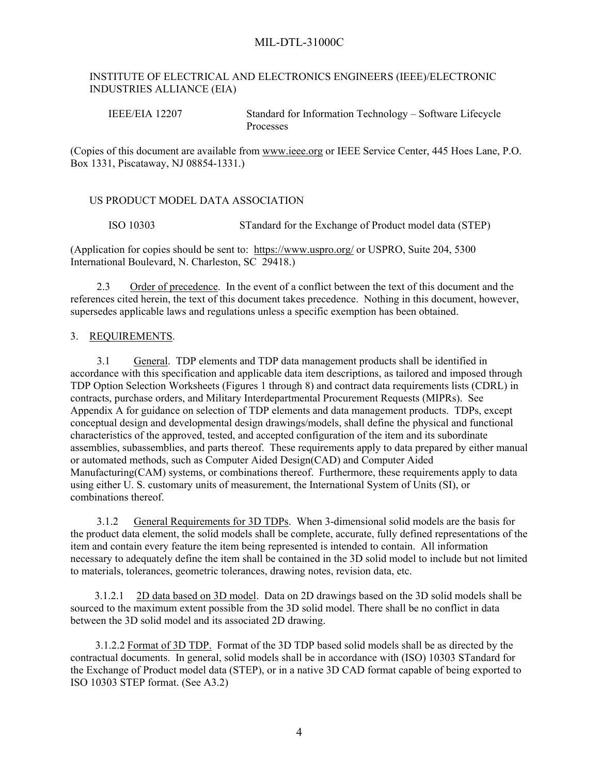### INSTITUTE OF ELECTRICAL AND ELECTRONICS ENGINEERS (IEEE)/ELECTRONIC INDUSTRIES ALLIANCE (EIA)

IEEE/EIA 12207 Standard for Information Technology – Software Lifecycle Processes

(Copies of this document are available from [www.ieee.org](http://www.ieee.org/) or IEEE Service Center, 445 Hoes Lane, P.O. Box 1331, Piscataway, NJ 08854-1331.)

#### US PRODUCT MODEL DATA ASSOCIATION

ISO 10303 STandard for the Exchange of Product model data (STEP)

(Application for copies should be sent to: <https://www.uspro.org/> or USPRO, Suite 204, 5300 International Boulevard, N. Charleston, SC 29418.)

2.3 Order of precedence. In the event of a conflict between the text of this document and the references cited herein, the text of this document takes precedence. Nothing in this document, however, supersedes applicable laws and regulations unless a specific exemption has been obtained.

#### 3. REQUIREMENTS.

3.1 General. TDP elements and TDP data management products shall be identified in accordance with this specification and applicable data item descriptions, as tailored and imposed through TDP Option Selection Worksheets (Figures 1 through 8) and contract data requirements lists (CDRL) in contracts, purchase orders, and Military Interdepartmental Procurement Requests (MIPRs). See Appendix A for guidance on selection of TDP elements and data management products. TDPs, except conceptual design and developmental design drawings/models, shall define the physical and functional characteristics of the approved, tested, and accepted configuration of the item and its subordinate assemblies, subassemblies, and parts thereof. These requirements apply to data prepared by either manual or automated methods, such as Computer Aided Design(CAD) and Computer Aided Manufacturing(CAM) systems, or combinations thereof. Furthermore, these requirements apply to data using either U. S. customary units of measurement, the International System of Units (SI), or combinations thereof.

3.1.2 General Requirements for 3D TDPs. When 3-dimensional solid models are the basis for the product data element, the solid models shall be complete, accurate, fully defined representations of the item and contain every feature the item being represented is intended to contain. All information necessary to adequately define the item shall be contained in the 3D solid model to include but not limited to materials, tolerances, geometric tolerances, drawing notes, revision data, etc.

 3.1.2.1 2D data based on 3D model. Data on 2D drawings based on the 3D solid models shall be sourced to the maximum extent possible from the 3D solid model. There shall be no conflict in data between the 3D solid model and its associated 2D drawing.

3.1.2.2 Format of 3D TDP. Format of the 3D TDP based solid models shall be as directed by the contractual documents. In general, solid models shall be in accordance with (ISO) 10303 STandard for the Exchange of Product model data (STEP), or in a native 3D CAD format capable of being exported to ISO 10303 STEP format. (See A3.2)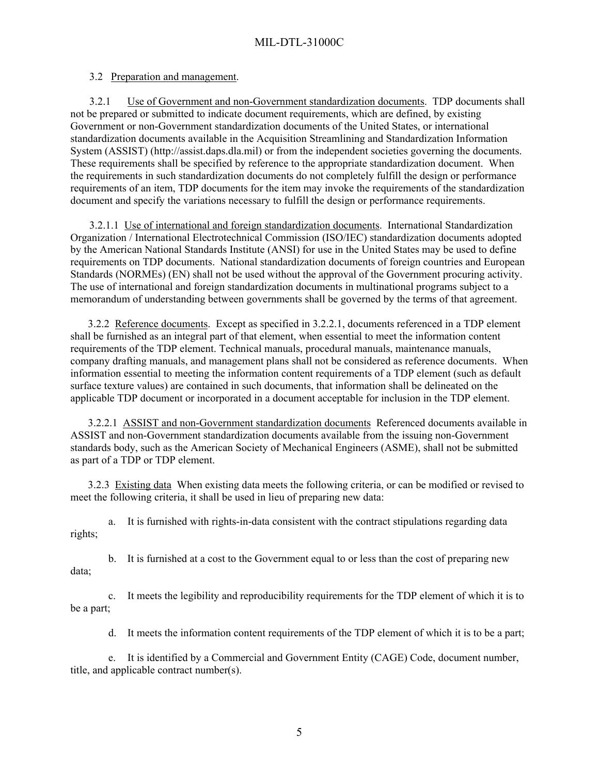## 3.2 Preparation and management.

3.2.1 Use of Government and non-Government standardization documents. TDP documents shall not be prepared or submitted to indicate document requirements, which are defined, by existing Government or non-Government standardization documents of the United States, or international standardization documents available in the Acquisition Streamlining and Standardization Information System (ASSIST) (http://assist.daps.dla.mil) or from the independent societies governing the documents. These requirements shall be specified by reference to the appropriate standardization document. When the requirements in such standardization documents do not completely fulfill the design or performance requirements of an item, TDP documents for the item may invoke the requirements of the standardization document and specify the variations necessary to fulfill the design or performance requirements.

3.2.1.1 Use of international and foreign standardization documents. International Standardization Organization / International Electrotechnical Commission (ISO/IEC) standardization documents adopted by the American National Standards Institute (ANSI) for use in the United States may be used to define requirements on TDP documents. National standardization documents of foreign countries and European Standards (NORMEs) (EN) shall not be used without the approval of the Government procuring activity. The use of international and foreign standardization documents in multinational programs subject to a memorandum of understanding between governments shall be governed by the terms of that agreement.

3.2.2 Reference documents. Except as specified in 3.2.2.1, documents referenced in a TDP element shall be furnished as an integral part of that element, when essential to meet the information content requirements of the TDP element. Technical manuals, procedural manuals, maintenance manuals, company drafting manuals, and management plans shall not be considered as reference documents. When information essential to meeting the information content requirements of a TDP element (such as default surface texture values) are contained in such documents, that information shall be delineated on the applicable TDP document or incorporated in a document acceptable for inclusion in the TDP element.

3.2.2.1 ASSIST and non-Government standardization documents Referenced documents available in ASSIST and non-Government standardization documents available from the issuing non-Government standards body, such as the American Society of Mechanical Engineers (ASME), shall not be submitted as part of a TDP or TDP element.

3.2.3 Existing data When existing data meets the following criteria, or can be modified or revised to meet the following criteria, it shall be used in lieu of preparing new data:

a. It is furnished with rights-in-data consistent with the contract stipulations regarding data rights;

b. It is furnished at a cost to the Government equal to or less than the cost of preparing new data;

c. It meets the legibility and reproducibility requirements for the TDP element of which it is to be a part;

d. It meets the information content requirements of the TDP element of which it is to be a part;

e. It is identified by a Commercial and Government Entity (CAGE) Code, document number, title, and applicable contract number(s).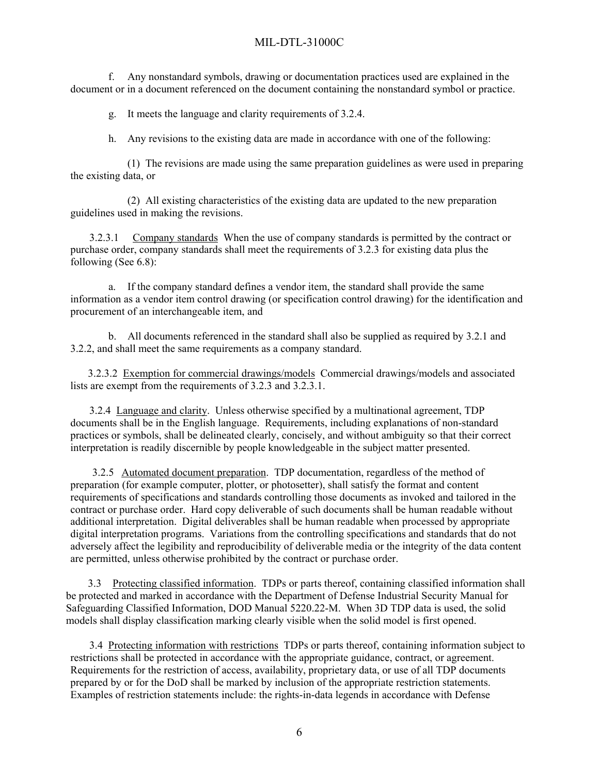f. Any nonstandard symbols, drawing or documentation practices used are explained in the document or in a document referenced on the document containing the nonstandard symbol or practice.

g. It meets the language and clarity requirements of 3.2.4.

h. Any revisions to the existing data are made in accordance with one of the following:

(1) The revisions are made using the same preparation guidelines as were used in preparing the existing data, or

(2) All existing characteristics of the existing data are updated to the new preparation guidelines used in making the revisions.

3.2.3.1 Company standards When the use of company standards is permitted by the contract or purchase order, company standards shall meet the requirements of 3.2.3 for existing data plus the following (See 6.8):

a. If the company standard defines a vendor item, the standard shall provide the same information as a vendor item control drawing (or specification control drawing) for the identification and procurement of an interchangeable item, and

b. All documents referenced in the standard shall also be supplied as required by 3.2.1 and 3.2.2, and shall meet the same requirements as a company standard.

3.2.3.2 Exemption for commercial drawings/models Commercial drawings/models and associated lists are exempt from the requirements of 3.2.3 and 3.2.3.1.

3.2.4 Language and clarity. Unless otherwise specified by a multinational agreement, TDP documents shall be in the English language. Requirements, including explanations of non-standard practices or symbols, shall be delineated clearly, concisely, and without ambiguity so that their correct interpretation is readily discernible by people knowledgeable in the subject matter presented.

3.2.5 Automated document preparation. TDP documentation, regardless of the method of preparation (for example computer, plotter, or photosetter), shall satisfy the format and content requirements of specifications and standards controlling those documents as invoked and tailored in the contract or purchase order. Hard copy deliverable of such documents shall be human readable without additional interpretation. Digital deliverables shall be human readable when processed by appropriate digital interpretation programs. Variations from the controlling specifications and standards that do not adversely affect the legibility and reproducibility of deliverable media or the integrity of the data content are permitted, unless otherwise prohibited by the contract or purchase order.

3.3 Protecting classified information. TDPs or parts thereof, containing classified information shall be protected and marked in accordance with the Department of Defense Industrial Security Manual for Safeguarding Classified Information, DOD Manual 5220.22-M. When 3D TDP data is used, the solid models shall display classification marking clearly visible when the solid model is first opened.

3.4 Protecting information with restrictions TDPs or parts thereof, containing information subject to restrictions shall be protected in accordance with the appropriate guidance, contract, or agreement. Requirements for the restriction of access, availability, proprietary data, or use of all TDP documents prepared by or for the DoD shall be marked by inclusion of the appropriate restriction statements. Examples of restriction statements include: the rights-in-data legends in accordance with Defense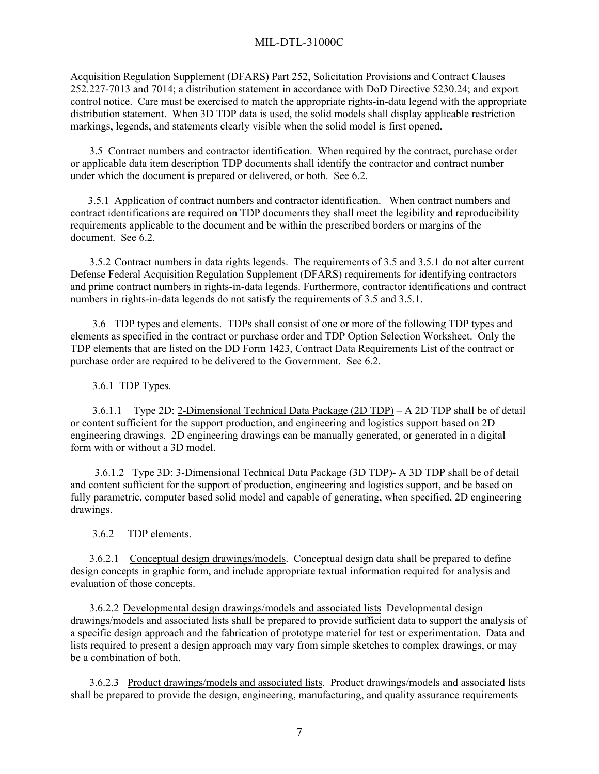Acquisition Regulation Supplement (DFARS) Part 252, Solicitation Provisions and Contract Clauses 252.227-7013 and 7014; a distribution statement in accordance with DoD Directive 5230.24; and export control notice. Care must be exercised to match the appropriate rights-in-data legend with the appropriate distribution statement. When 3D TDP data is used, the solid models shall display applicable restriction markings, legends, and statements clearly visible when the solid model is first opened.

3.5 Contract numbers and contractor identification. When required by the contract, purchase order or applicable data item description TDP documents shall identify the contractor and contract number under which the document is prepared or delivered, or both. See 6.2.

3.5.1 Application of contract numbers and contractor identification. When contract numbers and contract identifications are required on TDP documents they shall meet the legibility and reproducibility requirements applicable to the document and be within the prescribed borders or margins of the document. See 6.2.

3.5.2 Contract numbers in data rights legends. The requirements of 3.5 and 3.5.1 do not alter current Defense Federal Acquisition Regulation Supplement (DFARS) requirements for identifying contractors and prime contract numbers in rights-in-data legends. Furthermore, contractor identifications and contract numbers in rights-in-data legends do not satisfy the requirements of 3.5 and 3.5.1.

3.6 TDP types and elements. TDPs shall consist of one or more of the following TDP types and elements as specified in the contract or purchase order and TDP Option Selection Worksheet. Only the TDP elements that are listed on the DD Form 1423, Contract Data Requirements List of the contract or purchase order are required to be delivered to the Government. See 6.2.

### 3.6.1 TDP Types.

3.6.1.1 Type 2D: 2-Dimensional Technical Data Package (2D TDP) – A 2D TDP shall be of detail or content sufficient for the support production, and engineering and logistics support based on 2D engineering drawings. 2D engineering drawings can be manually generated, or generated in a digital form with or without a 3D model.

 3.6.1.2 Type 3D: 3-Dimensional Technical Data Package (3D TDP)- A 3D TDP shall be of detail and content sufficient for the support of production, engineering and logistics support, and be based on fully parametric, computer based solid model and capable of generating, when specified, 2D engineering drawings.

## 3.6.2 TDP elements.

3.6.2.1 Conceptual design drawings/models. Conceptual design data shall be prepared to define design concepts in graphic form, and include appropriate textual information required for analysis and evaluation of those concepts.

3.6.2.2 Developmental design drawings/models and associated lists Developmental design drawings/models and associated lists shall be prepared to provide sufficient data to support the analysis of a specific design approach and the fabrication of prototype materiel for test or experimentation. Data and lists required to present a design approach may vary from simple sketches to complex drawings, or may be a combination of both.

3.6.2.3 Product drawings/models and associated lists. Product drawings/models and associated lists shall be prepared to provide the design, engineering, manufacturing, and quality assurance requirements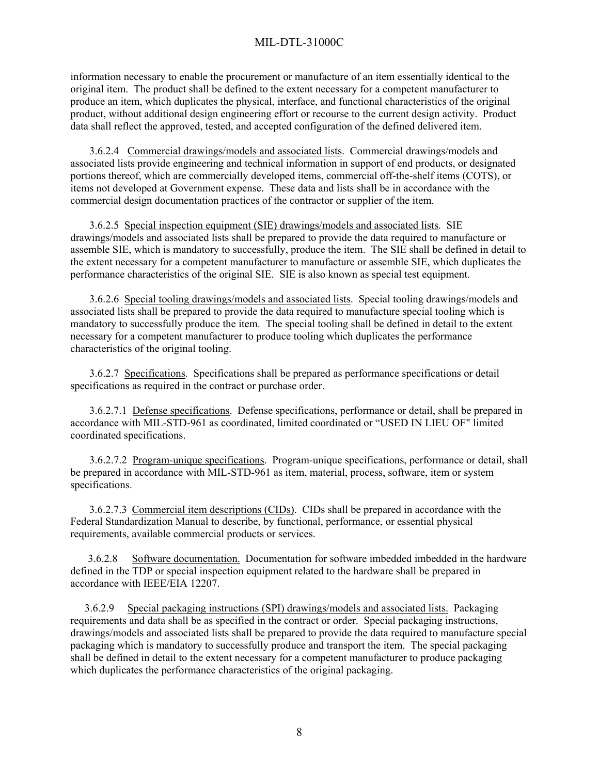information necessary to enable the procurement or manufacture of an item essentially identical to the original item. The product shall be defined to the extent necessary for a competent manufacturer to produce an item, which duplicates the physical, interface, and functional characteristics of the original product, without additional design engineering effort or recourse to the current design activity. Product data shall reflect the approved, tested, and accepted configuration of the defined delivered item.

3.6.2.4 Commercial drawings/models and associated lists. Commercial drawings/models and associated lists provide engineering and technical information in support of end products, or designated portions thereof, which are commercially developed items, commercial off-the-shelf items (COTS), or items not developed at Government expense. These data and lists shall be in accordance with the commercial design documentation practices of the contractor or supplier of the item.

3.6.2.5 Special inspection equipment (SIE) drawings/models and associated lists. SIE drawings/models and associated lists shall be prepared to provide the data required to manufacture or assemble SIE, which is mandatory to successfully, produce the item. The SIE shall be defined in detail to the extent necessary for a competent manufacturer to manufacture or assemble SIE, which duplicates the performance characteristics of the original SIE. SIE is also known as special test equipment.

3.6.2.6 Special tooling drawings/models and associated lists. Special tooling drawings/models and associated lists shall be prepared to provide the data required to manufacture special tooling which is mandatory to successfully produce the item. The special tooling shall be defined in detail to the extent necessary for a competent manufacturer to produce tooling which duplicates the performance characteristics of the original tooling.

3.6.2.7 Specifications. Specifications shall be prepared as performance specifications or detail specifications as required in the contract or purchase order.

3.6.2.7.1 Defense specifications. Defense specifications, performance or detail, shall be prepared in accordance with MIL-STD-961 as coordinated, limited coordinated or "USED IN LIEU OF" limited coordinated specifications.

3.6.2.7.2 Program-unique specifications. Program-unique specifications, performance or detail, shall be prepared in accordance with MIL-STD-961 as item, material, process, software, item or system specifications.

3.6.2.7.3 Commercial item descriptions (CIDs). CIDs shall be prepared in accordance with the Federal Standardization Manual to describe, by functional, performance, or essential physical requirements, available commercial products or services.

3.6.2.8 Software documentation. Documentation for software imbedded imbedded in the hardware defined in the TDP or special inspection equipment related to the hardware shall be prepared in accordance with IEEE/EIA 12207.

3.6.2.9 Special packaging instructions (SPI) drawings/models and associated lists. Packaging requirements and data shall be as specified in the contract or order. Special packaging instructions, drawings/models and associated lists shall be prepared to provide the data required to manufacture special packaging which is mandatory to successfully produce and transport the item. The special packaging shall be defined in detail to the extent necessary for a competent manufacturer to produce packaging which duplicates the performance characteristics of the original packaging.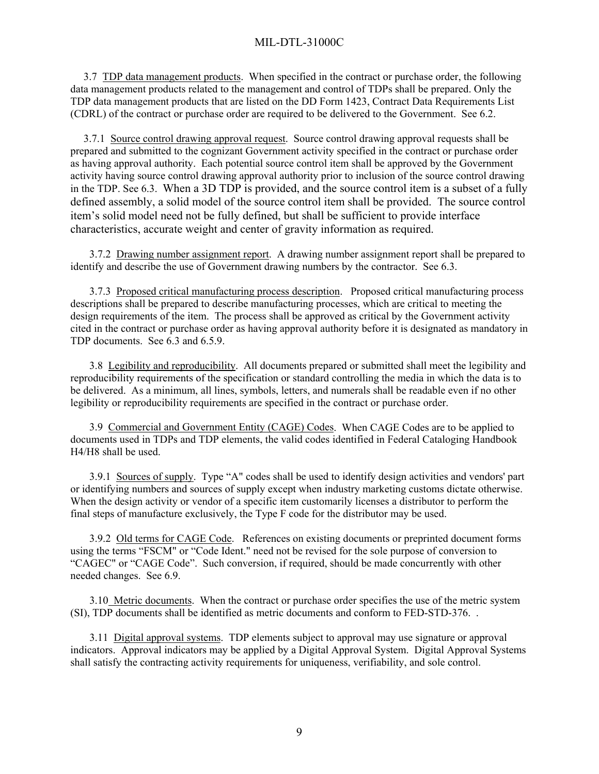3.7 TDP data management products. When specified in the contract or purchase order, the following data management products related to the management and control of TDPs shall be prepared. Only the TDP data management products that are listed on the DD Form 1423, Contract Data Requirements List (CDRL) of the contract or purchase order are required to be delivered to the Government. See 6.2.

3.7.1 Source control drawing approval request. Source control drawing approval requests shall be prepared and submitted to the cognizant Government activity specified in the contract or purchase order as having approval authority. Each potential source control item shall be approved by the Government activity having source control drawing approval authority prior to inclusion of the source control drawing in the TDP. See 6.3. When a 3D TDP is provided, and the source control item is a subset of a fully defined assembly, a solid model of the source control item shall be provided. The source control item's solid model need not be fully defined, but shall be sufficient to provide interface characteristics, accurate weight and center of gravity information as required.

3.7.2 Drawing number assignment report. A drawing number assignment report shall be prepared to identify and describe the use of Government drawing numbers by the contractor. See 6.3.

3.7.3 Proposed critical manufacturing process description. Proposed critical manufacturing process descriptions shall be prepared to describe manufacturing processes, which are critical to meeting the design requirements of the item. The process shall be approved as critical by the Government activity cited in the contract or purchase order as having approval authority before it is designated as mandatory in TDP documents. See 6.3 and 6.5.9.

3.8 Legibility and reproducibility. All documents prepared or submitted shall meet the legibility and reproducibility requirements of the specification or standard controlling the media in which the data is to be delivered. As a minimum, all lines, symbols, letters, and numerals shall be readable even if no other legibility or reproducibility requirements are specified in the contract or purchase order.

3.9 Commercial and Government Entity (CAGE) Codes. When CAGE Codes are to be applied to documents used in TDPs and TDP elements, the valid codes identified in Federal Cataloging Handbook H4/H8 shall be used.

3.9.1 Sources of supply. Type "A" codes shall be used to identify design activities and vendors' part or identifying numbers and sources of supply except when industry marketing customs dictate otherwise. When the design activity or vendor of a specific item customarily licenses a distributor to perform the final steps of manufacture exclusively, the Type F code for the distributor may be used.

3.9.2 Old terms for CAGE Code. References on existing documents or preprinted document forms using the terms "FSCM" or "Code Ident." need not be revised for the sole purpose of conversion to "CAGEC" or "CAGE Code". Such conversion, if required, should be made concurrently with other needed changes. See 6.9.

3.10 Metric documents. When the contract or purchase order specifies the use of the metric system (SI), TDP documents shall be identified as metric documents and conform to FED-STD-376. .

3.11 Digital approval systems. TDP elements subject to approval may use signature or approval indicators. Approval indicators may be applied by a Digital Approval System. Digital Approval Systems shall satisfy the contracting activity requirements for uniqueness, verifiability, and sole control.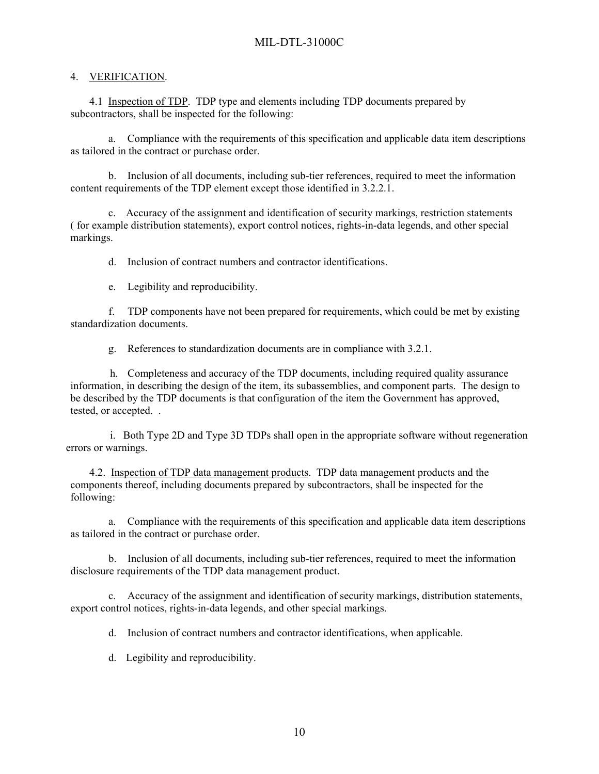### 4. VERIFICATION.

4.1 Inspection of TDP. TDP type and elements including TDP documents prepared by subcontractors, shall be inspected for the following:

a. Compliance with the requirements of this specification and applicable data item descriptions as tailored in the contract or purchase order.

b. Inclusion of all documents, including sub-tier references, required to meet the information content requirements of the TDP element except those identified in 3.2.2.1.

c. Accuracy of the assignment and identification of security markings, restriction statements ( for example distribution statements), export control notices, rights-in-data legends, and other special markings.

d. Inclusion of contract numbers and contractor identifications.

e. Legibility and reproducibility.

f. TDP components have not been prepared for requirements, which could be met by existing standardization documents.

g. References to standardization documents are in compliance with 3.2.1.

h. Completeness and accuracy of the TDP documents, including required quality assurance information, in describing the design of the item, its subassemblies, and component parts. The design to be described by the TDP documents is that configuration of the item the Government has approved, tested, or accepted. .

i. Both Type 2D and Type 3D TDPs shall open in the appropriate software without regeneration errors or warnings.

4.2. Inspection of TDP data management products. TDP data management products and the components thereof, including documents prepared by subcontractors, shall be inspected for the following:

a. Compliance with the requirements of this specification and applicable data item descriptions as tailored in the contract or purchase order.

b. Inclusion of all documents, including sub-tier references, required to meet the information disclosure requirements of the TDP data management product.

c. Accuracy of the assignment and identification of security markings, distribution statements, export control notices, rights-in-data legends, and other special markings.

d. Inclusion of contract numbers and contractor identifications, when applicable.

d. Legibility and reproducibility.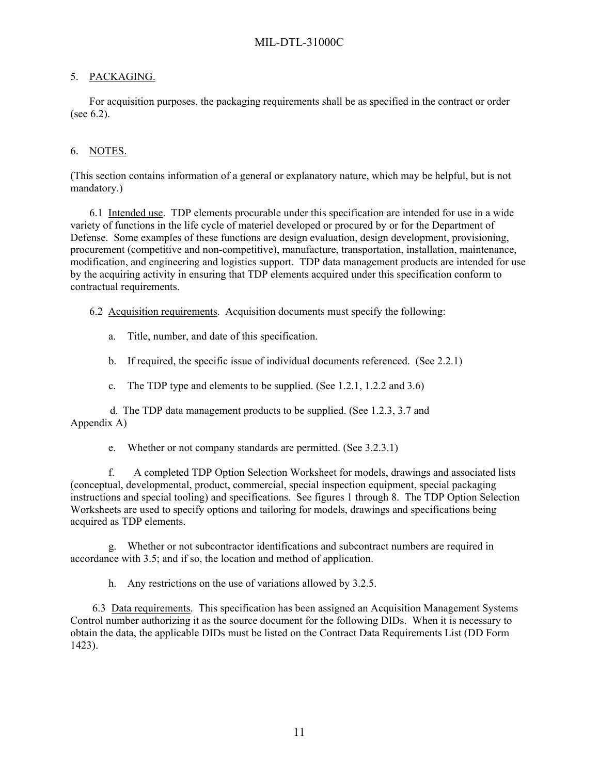## 5. PACKAGING.

For acquisition purposes, the packaging requirements shall be as specified in the contract or order (see 6.2).

## 6. NOTES.

(This section contains information of a general or explanatory nature, which may be helpful, but is not mandatory.)

6.1 Intended use. TDP elements procurable under this specification are intended for use in a wide variety of functions in the life cycle of materiel developed or procured by or for the Department of Defense. Some examples of these functions are design evaluation, design development, provisioning, procurement (competitive and non-competitive), manufacture, transportation, installation, maintenance, modification, and engineering and logistics support. TDP data management products are intended for use by the acquiring activity in ensuring that TDP elements acquired under this specification conform to contractual requirements.

6.2 Acquisition requirements. Acquisition documents must specify the following:

a. Title, number, and date of this specification.

b. If required, the specific issue of individual documents referenced. (See 2.2.1)

c. The TDP type and elements to be supplied. (See 1.2.1, 1.2.2 and 3.6)

d. The TDP data management products to be supplied. (See 1.2.3, 3.7 and Appendix A)

e. Whether or not company standards are permitted. (See 3.2.3.1)

f. A completed TDP Option Selection Worksheet for models, drawings and associated lists (conceptual, developmental, product, commercial, special inspection equipment, special packaging instructions and special tooling) and specifications. See figures 1 through 8. The TDP Option Selection Worksheets are used to specify options and tailoring for models, drawings and specifications being acquired as TDP elements.

g. Whether or not subcontractor identifications and subcontract numbers are required in accordance with 3.5; and if so, the location and method of application.

h. Any restrictions on the use of variations allowed by 3.2.5.

6.3 Data requirements. This specification has been assigned an Acquisition Management Systems Control number authorizing it as the source document for the following DIDs. When it is necessary to obtain the data, the applicable DIDs must be listed on the Contract Data Requirements List (DD Form 1423).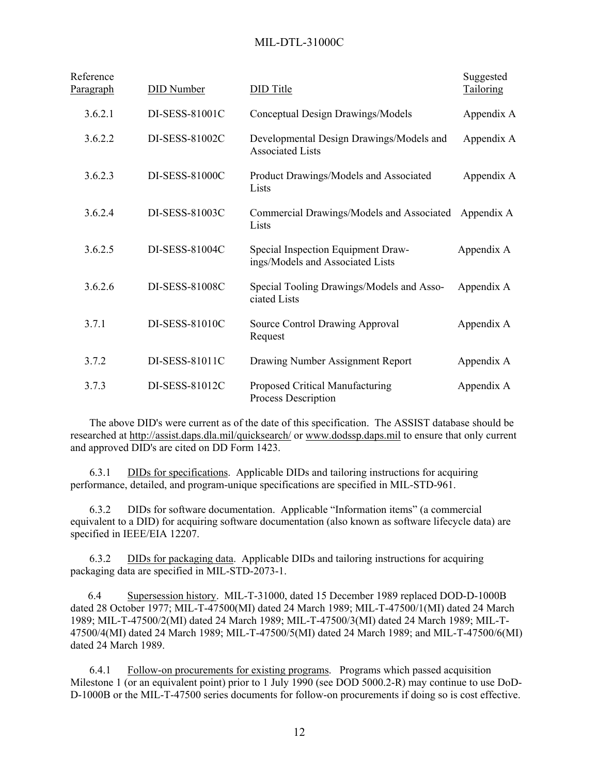| Reference<br><u>Paragraph</u> | <b>DID</b> Number | <b>DID</b> Title                                                       | Suggested<br>Tailoring |
|-------------------------------|-------------------|------------------------------------------------------------------------|------------------------|
| 3.6.2.1                       | DI-SESS-81001C    | Conceptual Design Drawings/Models                                      | Appendix A             |
| 3.6.2.2                       | DI-SESS-81002C    | Developmental Design Drawings/Models and<br><b>Associated Lists</b>    | Appendix A             |
| 3.6.2.3                       | DI-SESS-81000C    | Product Drawings/Models and Associated<br>Lists                        | Appendix A             |
| 3.6.2.4                       | DI-SESS-81003C    | Commercial Drawings/Models and Associated<br>Lists                     | Appendix A             |
| 3.6.2.5                       | DI-SESS-81004C    | Special Inspection Equipment Draw-<br>ings/Models and Associated Lists | Appendix A             |
| 3.6.2.6                       | DI-SESS-81008C    | Special Tooling Drawings/Models and Asso-<br>ciated Lists              | Appendix A             |
| 3.7.1                         | DI-SESS-81010C    | Source Control Drawing Approval<br>Request                             | Appendix A             |
| 3.7.2                         | DI-SESS-81011C    | Drawing Number Assignment Report                                       | Appendix A             |
| 3.7.3                         | DI-SESS-81012C    | Proposed Critical Manufacturing<br><b>Process Description</b>          | Appendix A             |

The above DID's were current as of the date of this specification. The ASSIST database should be researched at <http://assist.daps.dla.mil/quicksearch/> or [www.dodssp.daps.mil](http://www.dodssp.daps.mil/) to ensure that only current and approved DID's are cited on DD Form 1423.

DIDs for specifications. Applicable DIDs and tailoring instructions for acquiring performance, detailed, and program-unique specifications are specified in MIL-STD-961.

6.3.2 DIDs for software documentation. Applicable "Information items" (a commercial equivalent to a DID) for acquiring software documentation (also known as software lifecycle data) are specified in IEEE/EIA 12207.

6.3.2 DIDs for packaging data. Applicable DIDs and tailoring instructions for acquiring packaging data are specified in MIL-STD-2073-1.

6.4 Supersession history. MIL-T-31000, dated 15 December 1989 replaced DOD-D-1000B dated 28 October 1977; MIL-T-47500(MI) dated 24 March 1989; MIL-T-47500/1(MI) dated 24 March 1989; MIL-T-47500/2(MI) dated 24 March 1989; MIL-T-47500/3(MI) dated 24 March 1989; MIL-T-47500/4(MI) dated 24 March 1989; MIL-T-47500/5(MI) dated 24 March 1989; and MIL-T-47500/6(MI) dated 24 March 1989.

6.4.1 Follow-on procurements for existing programs. Programs which passed acquisition Milestone 1 (or an equivalent point) prior to 1 July 1990 (see DOD 5000.2-R) may continue to use DoD-D-1000B or the MIL-T-47500 series documents for follow-on procurements if doing so is cost effective.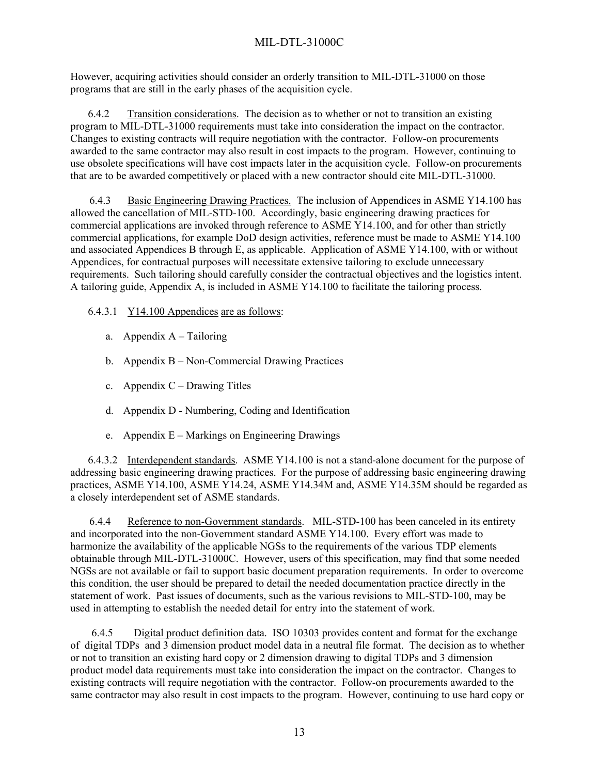However, acquiring activities should consider an orderly transition to MIL-DTL-31000 on those programs that are still in the early phases of the acquisition cycle.

6.4.2 Transition considerations. The decision as to whether or not to transition an existing program to MIL-DTL-31000 requirements must take into consideration the impact on the contractor. Changes to existing contracts will require negotiation with the contractor. Follow-on procurements awarded to the same contractor may also result in cost impacts to the program. However, continuing to use obsolete specifications will have cost impacts later in the acquisition cycle. Follow-on procurements that are to be awarded competitively or placed with a new contractor should cite MIL-DTL-31000.

6.4.3 Basic Engineering Drawing Practices. The inclusion of Appendices in ASME Y14.100 has allowed the cancellation of MIL-STD-100. Accordingly, basic engineering drawing practices for commercial applications are invoked through reference to ASME Y14.100, and for other than strictly commercial applications, for example DoD design activities, reference must be made to ASME Y14.100 and associated Appendices B through E, as applicable. Application of ASME Y14.100, with or without Appendices, for contractual purposes will necessitate extensive tailoring to exclude unnecessary requirements. Such tailoring should carefully consider the contractual objectives and the logistics intent. A tailoring guide, Appendix A, is included in ASME Y14.100 to facilitate the tailoring process.

6.4.3.1 Y14.100 Appendices are as follows:

- a. Appendix A Tailoring
- b. Appendix B Non-Commercial Drawing Practices
- c. Appendix  $C$  Drawing Titles
- d. Appendix D Numbering, Coding and Identification
- e. Appendix E Markings on Engineering Drawings

6.4.3.2 Interdependent standards. ASME Y14.100 is not a stand-alone document for the purpose of addressing basic engineering drawing practices. For the purpose of addressing basic engineering drawing practices, ASME Y14.100, ASME Y14.24, ASME Y14.34M and, ASME Y14.35M should be regarded as a closely interdependent set of ASME standards.

6.4.4 Reference to non-Government standards. MIL-STD-100 has been canceled in its entirety and incorporated into the non-Government standard ASME Y14.100. Every effort was made to harmonize the availability of the applicable NGSs to the requirements of the various TDP elements obtainable through MIL-DTL-31000C. However, users of this specification, may find that some needed NGSs are not available or fail to support basic document preparation requirements. In order to overcome this condition, the user should be prepared to detail the needed documentation practice directly in the statement of work. Past issues of documents, such as the various revisions to MIL-STD-100, may be used in attempting to establish the needed detail for entry into the statement of work.

6.4.5 Digital product definition data. ISO 10303 provides content and format for the exchange of digital TDPs and 3 dimension product model data in a neutral file format. The decision as to whether or not to transition an existing hard copy or 2 dimension drawing to digital TDPs and 3 dimension product model data requirements must take into consideration the impact on the contractor. Changes to existing contracts will require negotiation with the contractor. Follow-on procurements awarded to the same contractor may also result in cost impacts to the program. However, continuing to use hard copy or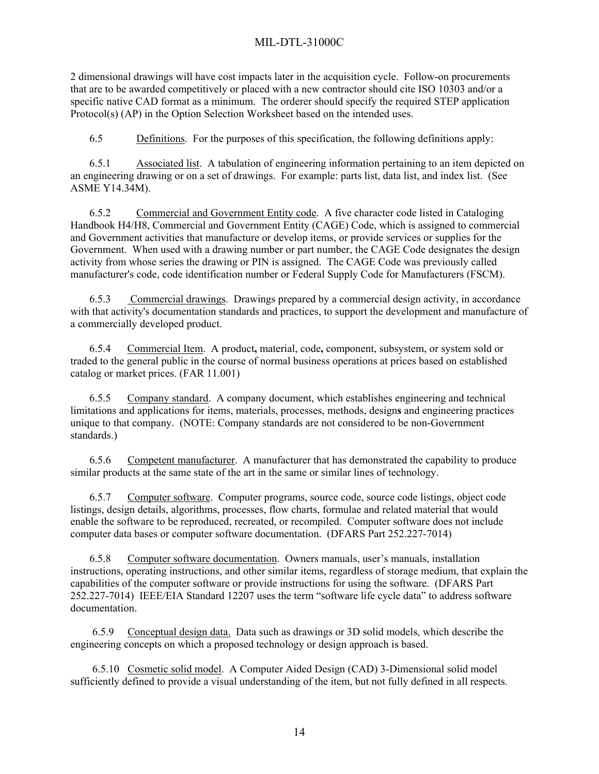2 dimensional drawings will have cost impacts later in the acquisition cycle. Follow-on procurements that are to be awarded competitively or placed with a new contractor should cite ISO 10303 and/or a specific native CAD format as a minimum. The orderer should specify the required STEP application Protocol(s) (AP) in the Option Selection Worksheet based on the intended uses.

6.5 Definitions. For the purposes of this specification, the following definitions apply:

 6.5.1 Associated list. A tabulation of engineering information pertaining to an item depicted on an engineering drawing or on a set of drawings. For example: parts list, data list, and index list. (See ASME Y14.34M).

6.5.2 Commercial and Government Entity code. A five character code listed in Cataloging Handbook H4/H8, Commercial and Government Entity (CAGE) Code, which is assigned to commercial and Government activities that manufacture or develop items, or provide services or supplies for the Government. When used with a drawing number or part number, the CAGE Code designates the design activity from whose series the drawing or PIN is assigned. The CAGE Code was previously called manufacturer's code, code identification number or Federal Supply Code for Manufacturers (FSCM).

 6.5.3 Commercial drawings. Drawings prepared by a commercial design activity, in accordance with that activity's documentation standards and practices, to support the development and manufacture of a commercially developed product.

 6.5.4 Commercial Item. A product**,** material, code**,** component, subsystem, or system sold or traded to the general public in the course of normal business operations at prices based on established catalog or market prices. (FAR 11.001)

 6.5.5 Company standard. A company document, which establishes engineering and technical limitations and applications for items, materials, processes, methods, design**s** and engineering practices unique to that company. (NOTE: Company standards are not considered to be non-Government standards.)

6.5.6 Competent manufacturer. A manufacturer that has demonstrated the capability to produce similar products at the same state of the art in the same or similar lines of technology.

6.5.7 Computer software. Computer programs, source code, source code listings, object code listings, design details, algorithms, processes, flow charts, formulae and related material that would enable the software to be reproduced, recreated, or recompiled. Computer software does not include computer data bases or computer software documentation. (DFARS Part 252.227-7014)

6.5.8 Computer software documentation. Owners manuals, user's manuals, installation instructions, operating instructions, and other similar items, regardless of storage medium, that explain the capabilities of the computer software or provide instructions for using the software. (DFARS Part 252.227-7014) IEEE/EIA Standard 12207 uses the term "software life cycle data" to address software documentation.

6.5.9 Conceptual design data. Data such as drawings or 3D solid models, which describe the engineering concepts on which a proposed technology or design approach is based.

6.5.10 Cosmetic solid model. A Computer Aided Design (CAD) 3-Dimensional solid model sufficiently defined to provide a visual understanding of the item, but not fully defined in all respects.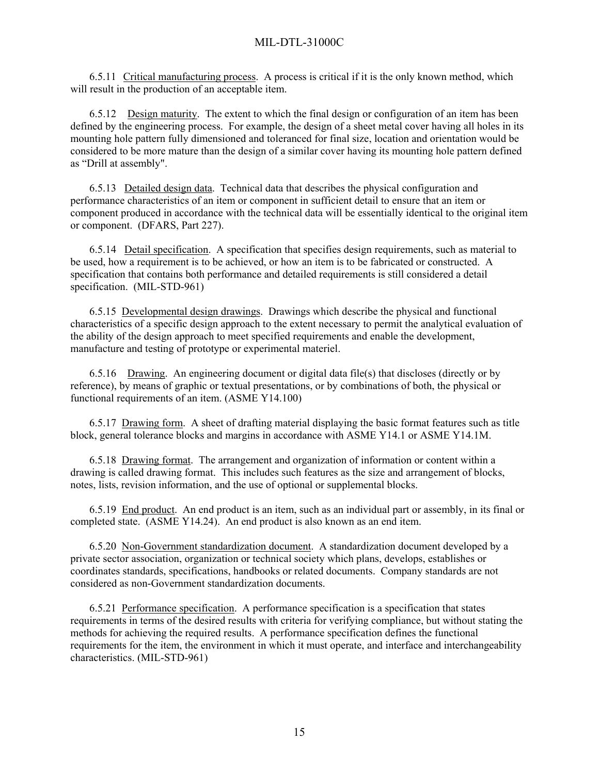6.5.11 Critical manufacturing process. A process is critical if it is the only known method, which will result in the production of an acceptable item.

 6.5.12 Design maturity. The extent to which the final design or configuration of an item has been defined by the engineering process. For example, the design of a sheet metal cover having all holes in its mounting hole pattern fully dimensioned and toleranced for final size, location and orientation would be considered to be more mature than the design of a similar cover having its mounting hole pattern defined as "Drill at assembly".

6.5.13 Detailed design data. Technical data that describes the physical configuration and performance characteristics of an item or component in sufficient detail to ensure that an item or component produced in accordance with the technical data will be essentially identical to the original item or component. (DFARS, Part 227).

6.5.14 Detail specification. A specification that specifies design requirements, such as material to be used, how a requirement is to be achieved, or how an item is to be fabricated or constructed. A specification that contains both performance and detailed requirements is still considered a detail specification. (MIL-STD-961)

6.5.15 Developmental design drawings. Drawings which describe the physical and functional characteristics of a specific design approach to the extent necessary to permit the analytical evaluation of the ability of the design approach to meet specified requirements and enable the development, manufacture and testing of prototype or experimental materiel.

 6.5.16 Drawing. An engineering document or digital data file(s) that discloses (directly or by reference), by means of graphic or textual presentations, or by combinations of both, the physical or functional requirements of an item. (ASME Y14.100)

6.5.17 Drawing form. A sheet of drafting material displaying the basic format features such as title block, general tolerance blocks and margins in accordance with ASME Y14.1 or ASME Y14.1M.

6.5.18 Drawing format. The arrangement and organization of information or content within a drawing is called drawing format. This includes such features as the size and arrangement of blocks, notes, lists, revision information, and the use of optional or supplemental blocks.

6.5.19 End product. An end product is an item, such as an individual part or assembly, in its final or completed state. (ASME Y14.24). An end product is also known as an end item.

6.5.20 Non-Government standardization document. A standardization document developed by a private sector association, organization or technical society which plans, develops, establishes or coordinates standards, specifications, handbooks or related documents. Company standards are not considered as non-Government standardization documents.

6.5.21 Performance specification. A performance specification is a specification that states requirements in terms of the desired results with criteria for verifying compliance, but without stating the methods for achieving the required results. A performance specification defines the functional requirements for the item, the environment in which it must operate, and interface and interchangeability characteristics. (MIL-STD-961)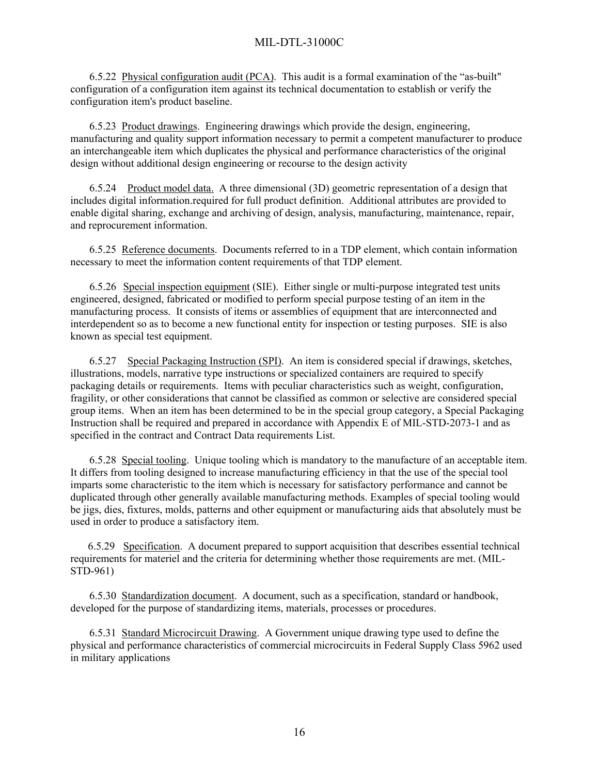6.5.22 Physical configuration audit (PCA). This audit is a formal examination of the "as-built" configuration of a configuration item against its technical documentation to establish or verify the configuration item's product baseline.

6.5.23 Product drawings. Engineering drawings which provide the design, engineering, manufacturing and quality support information necessary to permit a competent manufacturer to produce an interchangeable item which duplicates the physical and performance characteristics of the original design without additional design engineering or recourse to the design activity

6.5.24 Product model data. A three dimensional (3D) geometric representation of a design that includes digital information.required for full product definition. Additional attributes are provided to enable digital sharing, exchange and archiving of design, analysis, manufacturing, maintenance, repair, and reprocurement information.

6.5.25 Reference documents. Documents referred to in a TDP element, which contain information necessary to meet the information content requirements of that TDP element.

6.5.26 Special inspection equipment (SIE). Either single or multi-purpose integrated test units engineered, designed, fabricated or modified to perform special purpose testing of an item in the manufacturing process. It consists of items or assemblies of equipment that are interconnected and interdependent so as to become a new functional entity for inspection or testing purposes. SIE is also known as special test equipment.

6.5.27 Special Packaging Instruction (SPI). An item is considered special if drawings, sketches, illustrations, models, narrative type instructions or specialized containers are required to specify packaging details or requirements. Items with peculiar characteristics such as weight, configuration, fragility, or other considerations that cannot be classified as common or selective are considered special group items. When an item has been determined to be in the special group category, a Special Packaging Instruction shall be required and prepared in accordance with Appendix E of MIL-STD-2073-1 and as specified in the contract and Contract Data requirements List.

6.5.28 Special tooling. Unique tooling which is mandatory to the manufacture of an acceptable item. It differs from tooling designed to increase manufacturing efficiency in that the use of the special tool imparts some characteristic to the item which is necessary for satisfactory performance and cannot be duplicated through other generally available manufacturing methods. Examples of special tooling would be jigs, dies, fixtures, molds, patterns and other equipment or manufacturing aids that absolutely must be used in order to produce a satisfactory item.

6.5.29 Specification. A document prepared to support acquisition that describes essential technical requirements for materiel and the criteria for determining whether those requirements are met. (MIL-STD-961)

6.5.30 Standardization document. A document, such as a specification, standard or handbook, developed for the purpose of standardizing items, materials, processes or procedures.

6.5.31 Standard Microcircuit Drawing. A Government unique drawing type used to define the physical and performance characteristics of commercial microcircuits in Federal Supply Class 5962 used in military applications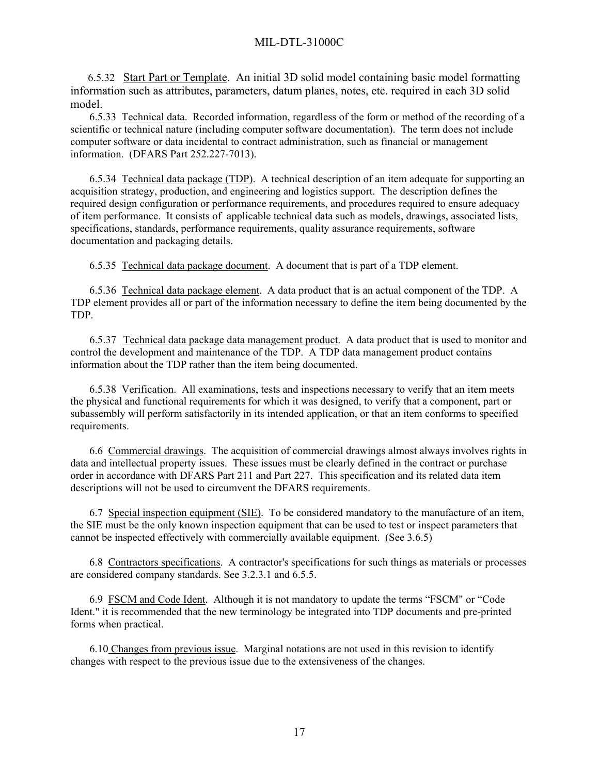6.5.32 Start Part or Template. An initial 3D solid model containing basic model formatting information such as attributes, parameters, datum planes, notes, etc. required in each 3D solid model.

6.5.33 Technical data. Recorded information, regardless of the form or method of the recording of a scientific or technical nature (including computer software documentation). The term does not include computer software or data incidental to contract administration, such as financial or management information. (DFARS Part 252.227-7013).

6.5.34 Technical data package (TDP). A technical description of an item adequate for supporting an acquisition strategy, production, and engineering and logistics support. The description defines the required design configuration or performance requirements, and procedures required to ensure adequacy of item performance. It consists of applicable technical data such as models, drawings, associated lists, specifications, standards, performance requirements, quality assurance requirements, software documentation and packaging details.

6.5.35 Technical data package document. A document that is part of a TDP element.

6.5.36 Technical data package element. A data product that is an actual component of the TDP. A TDP element provides all or part of the information necessary to define the item being documented by the TDP.

6.5.37 Technical data package data management product. A data product that is used to monitor and control the development and maintenance of the TDP. A TDP data management product contains information about the TDP rather than the item being documented.

6.5.38 Verification. All examinations, tests and inspections necessary to verify that an item meets the physical and functional requirements for which it was designed, to verify that a component, part or subassembly will perform satisfactorily in its intended application, or that an item conforms to specified requirements.

6.6 Commercial drawings. The acquisition of commercial drawings almost always involves rights in data and intellectual property issues. These issues must be clearly defined in the contract or purchase order in accordance with DFARS Part 211 and Part 227. This specification and its related data item descriptions will not be used to circumvent the DFARS requirements.

6.7 Special inspection equipment (SIE). To be considered mandatory to the manufacture of an item, the SIE must be the only known inspection equipment that can be used to test or inspect parameters that cannot be inspected effectively with commercially available equipment. (See 3.6.5)

6.8 Contractors specifications. A contractor's specifications for such things as materials or processes are considered company standards. See 3.2.3.1 and 6.5.5.

6.9 FSCM and Code Ident. Although it is not mandatory to update the terms "FSCM" or "Code Ident." it is recommended that the new terminology be integrated into TDP documents and pre-printed forms when practical.

6.10 Changes from previous issue. Marginal notations are not used in this revision to identify changes with respect to the previous issue due to the extensiveness of the changes.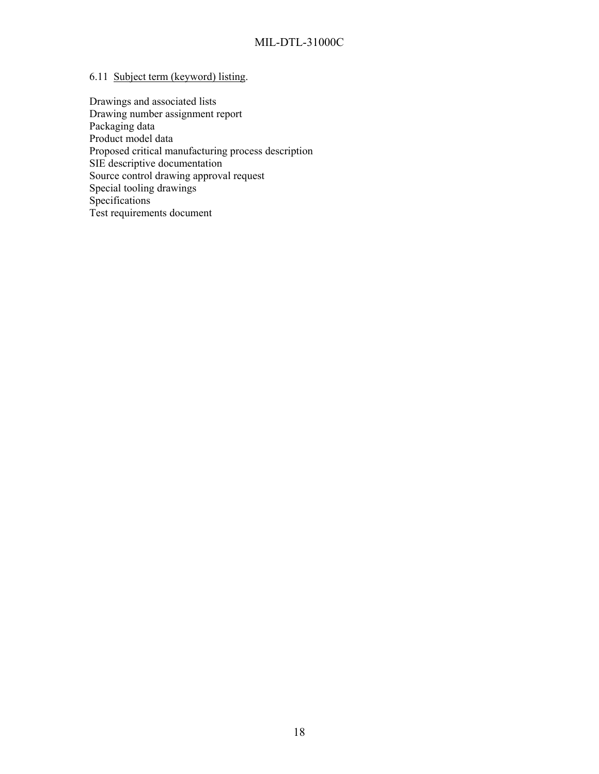# 6.11 Subject term (keyword) listing.

Drawings and associated lists Drawing number assignment report Packaging data Product model data Proposed critical manufacturing process description SIE descriptive documentation Source control drawing approval request Special tooling drawings **Specifications** Test requirements document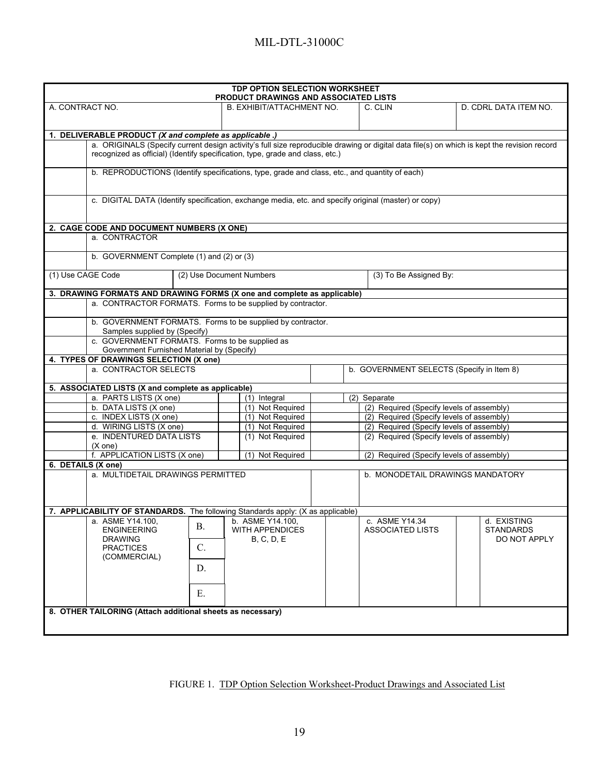| <b>TDP OPTION SELECTION WORKSHEET</b><br><b>PRODUCT DRAWINGS AND ASSOCIATED LISTS</b>                                                       |                                      |                                                                                        |                                           |                       |  |  |  |
|---------------------------------------------------------------------------------------------------------------------------------------------|--------------------------------------|----------------------------------------------------------------------------------------|-------------------------------------------|-----------------------|--|--|--|
| A. CONTRACT NO.                                                                                                                             | B. EXHIBIT/ATTACHMENT NO.            |                                                                                        | C. CLIN                                   | D. CDRL DATA ITEM NO. |  |  |  |
|                                                                                                                                             |                                      |                                                                                        |                                           |                       |  |  |  |
| 1. DELIVERABLE PRODUCT (X and complete as applicable .)                                                                                     |                                      |                                                                                        |                                           |                       |  |  |  |
| a. ORIGINALS (Specify current design activity's full size reproducible drawing or digital data file(s) on which is kept the revision record |                                      |                                                                                        |                                           |                       |  |  |  |
| recognized as official) (Identify specification, type, grade and class, etc.)                                                               |                                      |                                                                                        |                                           |                       |  |  |  |
| b. REPRODUCTIONS (Identify specifications, type, grade and class, etc., and quantity of each)                                               |                                      |                                                                                        |                                           |                       |  |  |  |
|                                                                                                                                             |                                      |                                                                                        |                                           |                       |  |  |  |
| c. DIGITAL DATA (Identify specification, exchange media, etc. and specify original (master) or copy)                                        |                                      |                                                                                        |                                           |                       |  |  |  |
|                                                                                                                                             |                                      |                                                                                        |                                           |                       |  |  |  |
| 2. CAGE CODE AND DOCUMENT NUMBERS (X ONE)                                                                                                   |                                      |                                                                                        |                                           |                       |  |  |  |
| a. CONTRACTOR                                                                                                                               |                                      |                                                                                        |                                           |                       |  |  |  |
| b. GOVERNMENT Complete (1) and (2) or (3)                                                                                                   |                                      |                                                                                        |                                           |                       |  |  |  |
|                                                                                                                                             |                                      |                                                                                        |                                           |                       |  |  |  |
| (1) Use CAGE Code                                                                                                                           | (2) Use Document Numbers             |                                                                                        | (3) To Be Assigned By:                    |                       |  |  |  |
| 3. DRAWING FORMATS AND DRAWING FORMS (X one and complete as applicable)                                                                     |                                      |                                                                                        |                                           |                       |  |  |  |
| a. CONTRACTOR FORMATS. Forms to be supplied by contractor.                                                                                  |                                      |                                                                                        |                                           |                       |  |  |  |
| b. GOVERNMENT FORMATS. Forms to be supplied by contractor.                                                                                  |                                      |                                                                                        |                                           |                       |  |  |  |
| Samples supplied by (Specify)<br>c. GOVERNMENT FORMATS. Forms to be supplied as                                                             |                                      |                                                                                        |                                           |                       |  |  |  |
| Government Furnished Material by (Specify)                                                                                                  |                                      |                                                                                        |                                           |                       |  |  |  |
| 4. TYPES OF DRAWINGS SELECTION (X one)                                                                                                      |                                      |                                                                                        |                                           |                       |  |  |  |
| a. CONTRACTOR SELECTS                                                                                                                       |                                      |                                                                                        | b. GOVERNMENT SELECTS (Specify in Item 8) |                       |  |  |  |
| 5. ASSOCIATED LISTS (X and complete as applicable)                                                                                          |                                      |                                                                                        |                                           |                       |  |  |  |
| a. PARTS LISTS (X one)                                                                                                                      | (1) Integral                         |                                                                                        | (2) Separate                              |                       |  |  |  |
| b. DATA LISTS (X one)                                                                                                                       | (1) Not Required                     |                                                                                        | (2) Required (Specify levels of assembly) |                       |  |  |  |
| c. INDEX LISTS (X one)                                                                                                                      | (1) Not Required                     |                                                                                        | (2) Required (Specify levels of assembly) |                       |  |  |  |
| d. WIRING LISTS (X one)<br>e. INDENTURED DATA LISTS                                                                                         | (1) Not Required<br>(1) Not Required | (2) Required (Specify levels of assembly)<br>(2) Required (Specify levels of assembly) |                                           |                       |  |  |  |
| $(X \text{ one})$                                                                                                                           |                                      |                                                                                        |                                           |                       |  |  |  |
| f. APPLICATION LISTS (X one)                                                                                                                | (1) Not Required                     |                                                                                        | (2) Required (Specify levels of assembly) |                       |  |  |  |
| 6. DETAILS (X one)                                                                                                                          |                                      |                                                                                        |                                           |                       |  |  |  |
| a. MULTIDETAIL DRAWINGS PERMITTED                                                                                                           |                                      |                                                                                        | <b>b. MONODETAIL DRAWINGS MANDATORY</b>   |                       |  |  |  |
|                                                                                                                                             |                                      |                                                                                        |                                           |                       |  |  |  |
|                                                                                                                                             |                                      |                                                                                        |                                           |                       |  |  |  |
| 7. APPLICABILITY OF STANDARDS. The following Standards apply: (X as applicable)<br>  a. ASME Y14.100, $\qquad \qquad$ b. ASME Y14.100,      |                                      |                                                                                        | c. ASME Y14.34                            | d. EXISTING           |  |  |  |
| В.<br><b>ENGINEERING</b>                                                                                                                    | <b>WITH APPENDICES</b>               |                                                                                        | <b>ASSOCIATED LISTS</b>                   | <b>STANDARDS</b>      |  |  |  |
| <b>DRAWING</b>                                                                                                                              | B, C, D, E                           |                                                                                        |                                           | DO NOT APPLY          |  |  |  |
| $C$ .<br><b>PRACTICES</b>                                                                                                                   |                                      |                                                                                        |                                           |                       |  |  |  |
| (COMMERCIAL)                                                                                                                                |                                      |                                                                                        |                                           |                       |  |  |  |
|                                                                                                                                             | D.                                   |                                                                                        |                                           |                       |  |  |  |
|                                                                                                                                             |                                      |                                                                                        |                                           |                       |  |  |  |
| Ε.                                                                                                                                          |                                      |                                                                                        |                                           |                       |  |  |  |
| 8. OTHER TAILORING (Attach additional sheets as necessary)                                                                                  |                                      |                                                                                        |                                           |                       |  |  |  |
|                                                                                                                                             |                                      |                                                                                        |                                           |                       |  |  |  |
|                                                                                                                                             |                                      |                                                                                        |                                           |                       |  |  |  |

FIGURE 1. TDP Option Selection Worksheet-Product Drawings and Associated List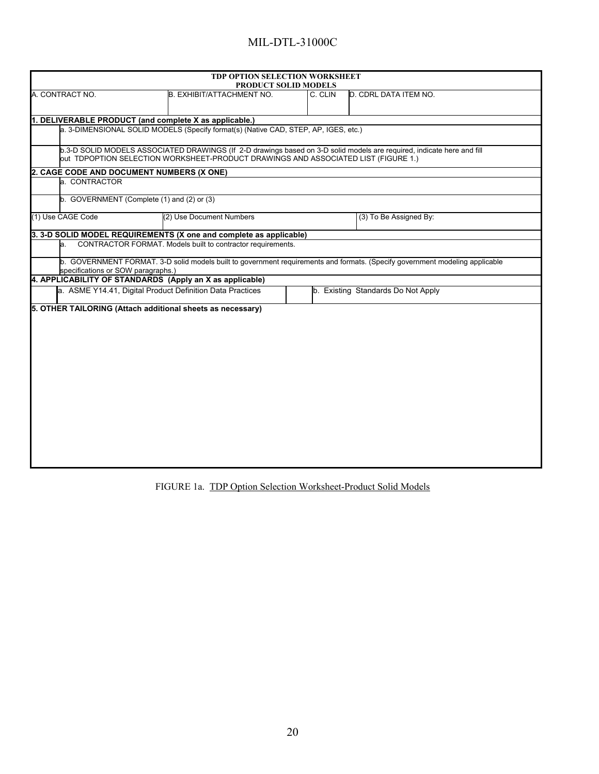|                                                       | TDP OPTION SELECTION WORKSHEET<br><b>PRODUCT SOLID MODELS</b>                                                                                                                                                |         |                                                                                                                              |
|-------------------------------------------------------|--------------------------------------------------------------------------------------------------------------------------------------------------------------------------------------------------------------|---------|------------------------------------------------------------------------------------------------------------------------------|
| A. CONTRACT NO.                                       | B. EXHIBIT/ATTACHMENT NO.                                                                                                                                                                                    | C. CLIN | D. CDRL DATA ITEM NO.                                                                                                        |
|                                                       | 1. DELIVERABLE PRODUCT (and complete X as applicable.)                                                                                                                                                       |         |                                                                                                                              |
|                                                       | a. 3-DIMENSIONAL SOLID MODELS (Specify format(s) (Native CAD, STEP, AP, IGES, etc.)                                                                                                                          |         |                                                                                                                              |
|                                                       | b.3-D SOLID MODELS ASSOCIATED DRAWINGS (If 2-D drawings based on 3-D solid models are required, indicate here and fill<br>out TDPOPTION SELECTION WORKSHEET-PRODUCT DRAWINGS AND ASSOCIATED LIST (FIGURE 1.) |         |                                                                                                                              |
| 2. CAGE CODE AND DOCUMENT NUMBERS (X ONE)             |                                                                                                                                                                                                              |         |                                                                                                                              |
| a. CONTRACTOR                                         |                                                                                                                                                                                                              |         |                                                                                                                              |
| $\mathbf b$ . GOVERNMENT (Complete (1) and (2) or (3) |                                                                                                                                                                                                              |         |                                                                                                                              |
| (1) Use CAGE Code                                     | (2) Use Document Numbers                                                                                                                                                                                     |         | (3) To Be Assigned By:                                                                                                       |
|                                                       | 3. 3-D SOLID MODEL REQUIREMENTS (X one and complete as applicable)                                                                                                                                           |         |                                                                                                                              |
| la.                                                   | CONTRACTOR FORMAT. Models built to contractor requirements.                                                                                                                                                  |         |                                                                                                                              |
| specifications or SOW paragraphs.)                    |                                                                                                                                                                                                              |         | b. GOVERNMENT FORMAT. 3-D solid models built to government requirements and formats. (Specify government modeling applicable |
|                                                       | 4. APPLICABILITY OF STANDARDS (Apply an X as applicable)                                                                                                                                                     |         |                                                                                                                              |
|                                                       | a. ASME Y14.41, Digital Product Definition Data Practices                                                                                                                                                    |         | b. Existing Standards Do Not Apply                                                                                           |
|                                                       | 5. OTHER TAILORING (Attach additional sheets as necessary)                                                                                                                                                   |         |                                                                                                                              |
|                                                       |                                                                                                                                                                                                              |         |                                                                                                                              |
|                                                       |                                                                                                                                                                                                              |         |                                                                                                                              |
|                                                       |                                                                                                                                                                                                              |         |                                                                                                                              |
|                                                       |                                                                                                                                                                                                              |         |                                                                                                                              |
|                                                       |                                                                                                                                                                                                              |         |                                                                                                                              |
|                                                       |                                                                                                                                                                                                              |         |                                                                                                                              |
|                                                       |                                                                                                                                                                                                              |         |                                                                                                                              |
|                                                       |                                                                                                                                                                                                              |         |                                                                                                                              |
|                                                       |                                                                                                                                                                                                              |         |                                                                                                                              |

FIGURE 1a. TDP Option Selection Worksheet-Product Solid Models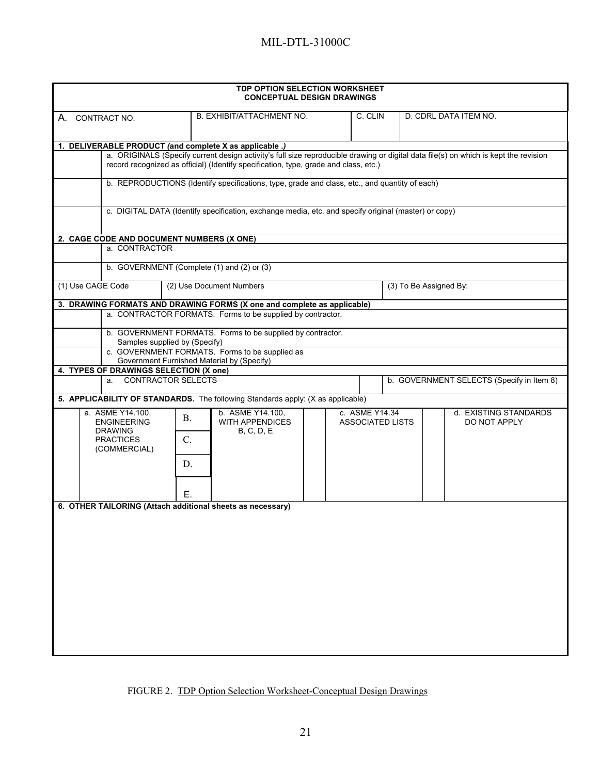| <b>TDP OPTION SELECTION WORKSHEET</b><br><b>CONCEPTUAL DESIGN DRAWINGS</b> |                                                                                  |                           |                                                                                                      |  |                |                         |                                                                                                                                      |  |  |
|----------------------------------------------------------------------------|----------------------------------------------------------------------------------|---------------------------|------------------------------------------------------------------------------------------------------|--|----------------|-------------------------|--------------------------------------------------------------------------------------------------------------------------------------|--|--|
|                                                                            | B. EXHIBIT/ATTACHMENT NO.<br>C. CLIN<br>D. CDRL DATA ITEM NO.<br>A. CONTRACT NO. |                           |                                                                                                      |  |                |                         |                                                                                                                                      |  |  |
|                                                                            |                                                                                  |                           | 1. DELIVERABLE PRODUCT (and complete X as applicable .)                                              |  |                |                         |                                                                                                                                      |  |  |
|                                                                            |                                                                                  |                           | record recognized as official) (Identify specification, type, grade and class, etc.)                 |  |                |                         | a. ORIGINALS (Specify current design activity's full size reproducible drawing or digital data file(s) on which is kept the revision |  |  |
|                                                                            |                                                                                  |                           | b. REPRODUCTIONS (Identify specifications, type, grade and class, etc., and quantity of each)        |  |                |                         |                                                                                                                                      |  |  |
|                                                                            |                                                                                  |                           | c. DIGITAL DATA (Identify specification, exchange media, etc. and specify original (master) or copy) |  |                |                         |                                                                                                                                      |  |  |
|                                                                            | 2. CAGE CODE AND DOCUMENT NUMBERS (X ONE)                                        |                           |                                                                                                      |  |                |                         |                                                                                                                                      |  |  |
|                                                                            | a. CONTRACTOR                                                                    |                           |                                                                                                      |  |                |                         |                                                                                                                                      |  |  |
|                                                                            |                                                                                  |                           | b. GOVERNMENT (Complete (1) and (2) or (3)                                                           |  |                |                         |                                                                                                                                      |  |  |
| (1) Use CAGE Code                                                          |                                                                                  |                           | (2) Use Document Numbers                                                                             |  |                | (3) To Be Assigned By:  |                                                                                                                                      |  |  |
|                                                                            |                                                                                  |                           | 3. DRAWING FORMATS AND DRAWING FORMS (X one and complete as applicable)                              |  |                |                         |                                                                                                                                      |  |  |
|                                                                            |                                                                                  |                           | a. CONTRACTOR FORMATS. Forms to be supplied by contractor.                                           |  |                |                         |                                                                                                                                      |  |  |
|                                                                            | Samples supplied by (Specify)                                                    |                           | b. GOVERNMENT FORMATS. Forms to be supplied by contractor.                                           |  |                |                         |                                                                                                                                      |  |  |
|                                                                            |                                                                                  |                           | c. GOVERNMENT FORMATS. Forms to be supplied as<br>Government Furnished Material by (Specify)         |  |                |                         |                                                                                                                                      |  |  |
|                                                                            | 4. TYPES OF DRAWINGS SELECTION (X one)                                           |                           |                                                                                                      |  |                |                         |                                                                                                                                      |  |  |
|                                                                            | $a_{\cdot}$                                                                      | <b>CONTRACTOR SELECTS</b> |                                                                                                      |  |                |                         | b. GOVERNMENT SELECTS (Specify in Item 8)                                                                                            |  |  |
|                                                                            |                                                                                  |                           | 5. APPLICABILITY OF STANDARDS. The following Standards apply: (X as applicable)                      |  |                |                         |                                                                                                                                      |  |  |
|                                                                            | a. ASME Y14.100,<br><b>ENGINEERING</b>                                           | <b>B.</b>                 | b. ASME Y14.100,<br><b>WITH APPENDICES</b>                                                           |  | c. ASME Y14.34 | <b>ASSOCIATED LISTS</b> | d. EXISTING STANDARDS<br>DO NOT APPLY                                                                                                |  |  |
|                                                                            | <b>DRAWING</b><br><b>PRACTICES</b>                                               | $\mathcal{C}$ .           | <b>B, C, D, E</b>                                                                                    |  |                |                         |                                                                                                                                      |  |  |
|                                                                            | (COMMERCIAL)                                                                     | D.                        |                                                                                                      |  |                |                         |                                                                                                                                      |  |  |
|                                                                            |                                                                                  |                           |                                                                                                      |  |                |                         |                                                                                                                                      |  |  |
|                                                                            |                                                                                  | Е.                        |                                                                                                      |  |                |                         |                                                                                                                                      |  |  |
|                                                                            |                                                                                  |                           | 6. OTHER TAILORING (Attach additional sheets as necessary)                                           |  |                |                         |                                                                                                                                      |  |  |
|                                                                            |                                                                                  |                           |                                                                                                      |  |                |                         |                                                                                                                                      |  |  |
|                                                                            |                                                                                  |                           |                                                                                                      |  |                |                         |                                                                                                                                      |  |  |
|                                                                            |                                                                                  |                           |                                                                                                      |  |                |                         |                                                                                                                                      |  |  |
|                                                                            |                                                                                  |                           |                                                                                                      |  |                |                         |                                                                                                                                      |  |  |
|                                                                            |                                                                                  |                           |                                                                                                      |  |                |                         |                                                                                                                                      |  |  |
|                                                                            |                                                                                  |                           |                                                                                                      |  |                |                         |                                                                                                                                      |  |  |
|                                                                            |                                                                                  |                           |                                                                                                      |  |                |                         |                                                                                                                                      |  |  |
|                                                                            |                                                                                  |                           |                                                                                                      |  |                |                         |                                                                                                                                      |  |  |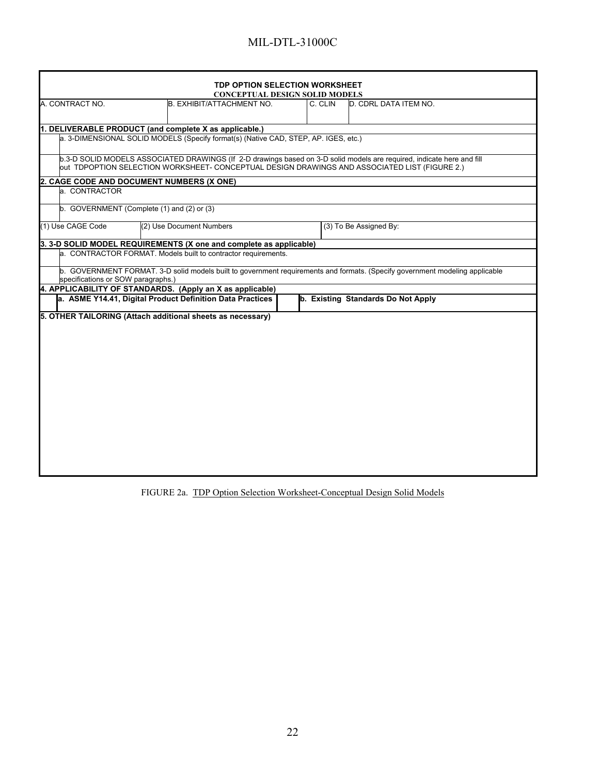| <b>TDP OPTION SELECTION WORKSHEET</b><br><b>CONCEPTUAL DESIGN SOLID MODELS</b> |  |                                                                                     |  |         |                                                                                                                                                                                                                         |  |  |  |
|--------------------------------------------------------------------------------|--|-------------------------------------------------------------------------------------|--|---------|-------------------------------------------------------------------------------------------------------------------------------------------------------------------------------------------------------------------------|--|--|--|
| A. CONTRACT NO.                                                                |  | B. EXHIBIT/ATTACHMENT NO.                                                           |  | C. CLIN | D. CDRL DATA ITEM NO.                                                                                                                                                                                                   |  |  |  |
|                                                                                |  |                                                                                     |  |         |                                                                                                                                                                                                                         |  |  |  |
|                                                                                |  | 1. DELIVERABLE PRODUCT (and complete X as applicable.)                              |  |         |                                                                                                                                                                                                                         |  |  |  |
|                                                                                |  | a. 3-DIMENSIONAL SOLID MODELS (Specify format(s) (Native CAD, STEP, AP, IGES, etc.) |  |         |                                                                                                                                                                                                                         |  |  |  |
|                                                                                |  |                                                                                     |  |         | b.3-D SOLID MODELS ASSOCIATED DRAWINGS (If 2-D drawings based on 3-D solid models are required, indicate here and fill<br>out TDPOPTION SELECTION WORKSHEET- CONCEPTUAL DESIGN DRAWINGS AND ASSOCIATED LIST (FIGURE 2.) |  |  |  |
| 2. CAGE CODE AND DOCUMENT NUMBERS (X ONE)                                      |  |                                                                                     |  |         |                                                                                                                                                                                                                         |  |  |  |
| a. CONTRACTOR                                                                  |  |                                                                                     |  |         |                                                                                                                                                                                                                         |  |  |  |
| b. GOVERNMENT (Complete (1) and (2) or (3)                                     |  |                                                                                     |  |         |                                                                                                                                                                                                                         |  |  |  |
| (1) Use CAGE Code                                                              |  | (2) Use Document Numbers                                                            |  |         | (3) To Be Assigned By:                                                                                                                                                                                                  |  |  |  |
|                                                                                |  | 3.3-D SOLID MODEL REQUIREMENTS (X one and complete as applicable)                   |  |         |                                                                                                                                                                                                                         |  |  |  |
|                                                                                |  | a. CONTRACTOR FORMAT. Models built to contractor requirements.                      |  |         |                                                                                                                                                                                                                         |  |  |  |
| specifications or SOW paragraphs.)                                             |  |                                                                                     |  |         | b. GOVERNMENT FORMAT. 3-D solid models built to government requirements and formats. (Specify government modeling applicable                                                                                            |  |  |  |
|                                                                                |  | 4. APPLICABILITY OF STANDARDS. (Apply an X as applicable)                           |  |         |                                                                                                                                                                                                                         |  |  |  |
|                                                                                |  | a. ASME Y14.41, Digital Product Definition Data Practices                           |  |         | b. Existing Standards Do Not Apply                                                                                                                                                                                      |  |  |  |
|                                                                                |  | 5. OTHER TAILORING (Attach additional sheets as necessary)                          |  |         |                                                                                                                                                                                                                         |  |  |  |
|                                                                                |  |                                                                                     |  |         |                                                                                                                                                                                                                         |  |  |  |
|                                                                                |  |                                                                                     |  |         |                                                                                                                                                                                                                         |  |  |  |
|                                                                                |  |                                                                                     |  |         |                                                                                                                                                                                                                         |  |  |  |
|                                                                                |  |                                                                                     |  |         |                                                                                                                                                                                                                         |  |  |  |
|                                                                                |  |                                                                                     |  |         |                                                                                                                                                                                                                         |  |  |  |
|                                                                                |  |                                                                                     |  |         |                                                                                                                                                                                                                         |  |  |  |
|                                                                                |  |                                                                                     |  |         |                                                                                                                                                                                                                         |  |  |  |
|                                                                                |  |                                                                                     |  |         |                                                                                                                                                                                                                         |  |  |  |
|                                                                                |  |                                                                                     |  |         |                                                                                                                                                                                                                         |  |  |  |
|                                                                                |  |                                                                                     |  |         |                                                                                                                                                                                                                         |  |  |  |
|                                                                                |  |                                                                                     |  |         |                                                                                                                                                                                                                         |  |  |  |
|                                                                                |  |                                                                                     |  |         |                                                                                                                                                                                                                         |  |  |  |
|                                                                                |  |                                                                                     |  |         |                                                                                                                                                                                                                         |  |  |  |
|                                                                                |  |                                                                                     |  |         |                                                                                                                                                                                                                         |  |  |  |

FIGURE 2a. TDP Option Selection Worksheet-Conceptual Design Solid Models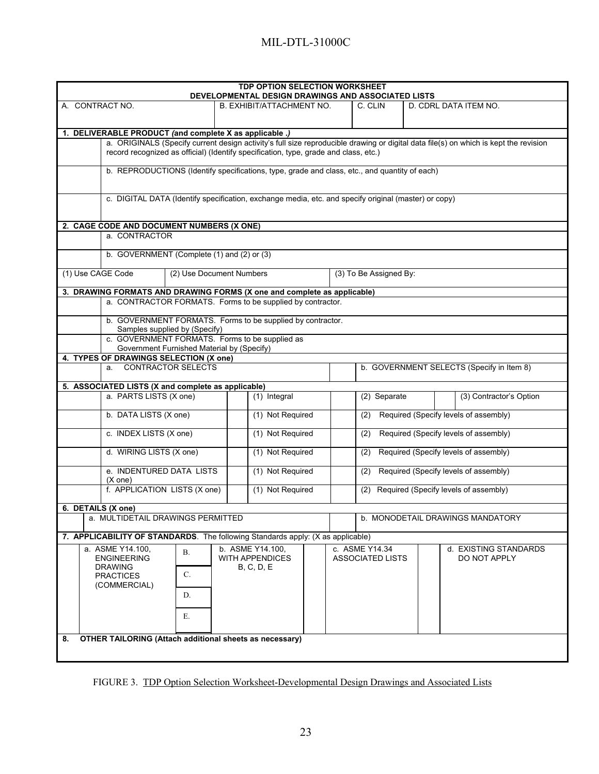| TDP OPTION SELECTION WORKSHEET<br>DEVELOPMENTAL DESIGN DRAWINGS AND ASSOCIATED LISTS |                                                                                                      |                                  |                                                                                                                                      |  |  |  |
|--------------------------------------------------------------------------------------|------------------------------------------------------------------------------------------------------|----------------------------------|--------------------------------------------------------------------------------------------------------------------------------------|--|--|--|
| A. CONTRACT NO.                                                                      | <b>B. EXHIBIT/ATTACHMENT NO.</b>                                                                     | C. CLIN                          | D. CDRL DATA ITEM NO.                                                                                                                |  |  |  |
|                                                                                      |                                                                                                      |                                  |                                                                                                                                      |  |  |  |
| 1. DELIVERABLE PRODUCT (and complete X as applicable .)                              |                                                                                                      |                                  |                                                                                                                                      |  |  |  |
|                                                                                      |                                                                                                      |                                  | a. ORIGINALS (Specify current design activity's full size reproducible drawing or digital data file(s) on which is kept the revision |  |  |  |
|                                                                                      | record recognized as official) (Identify specification, type, grade and class, etc.)                 |                                  |                                                                                                                                      |  |  |  |
|                                                                                      | b. REPRODUCTIONS (Identify specifications, type, grade and class, etc., and quantity of each)        |                                  |                                                                                                                                      |  |  |  |
|                                                                                      |                                                                                                      |                                  |                                                                                                                                      |  |  |  |
|                                                                                      | c. DIGITAL DATA (Identify specification, exchange media, etc. and specify original (master) or copy) |                                  |                                                                                                                                      |  |  |  |
|                                                                                      |                                                                                                      |                                  |                                                                                                                                      |  |  |  |
| 2. CAGE CODE AND DOCUMENT NUMBERS (X ONE)                                            |                                                                                                      |                                  |                                                                                                                                      |  |  |  |
| a. CONTRACTOR                                                                        |                                                                                                      |                                  |                                                                                                                                      |  |  |  |
| b. GOVERNMENT (Complete (1) and (2) or (3)                                           |                                                                                                      |                                  |                                                                                                                                      |  |  |  |
| (1) Use CAGE Code                                                                    | (2) Use Document Numbers                                                                             | (3) To Be Assigned By:           |                                                                                                                                      |  |  |  |
| 3. DRAWING FORMATS AND DRAWING FORMS (X one and complete as applicable)              |                                                                                                      |                                  |                                                                                                                                      |  |  |  |
|                                                                                      | a. CONTRACTOR FORMATS. Forms to be supplied by contractor.                                           |                                  |                                                                                                                                      |  |  |  |
|                                                                                      | b. GOVERNMENT FORMATS. Forms to be supplied by contractor.                                           |                                  |                                                                                                                                      |  |  |  |
| Samples supplied by (Specify)<br>c. GOVERNMENT FORMATS. Forms to be supplied as      |                                                                                                      |                                  |                                                                                                                                      |  |  |  |
| Government Furnished Material by (Specify)                                           |                                                                                                      |                                  |                                                                                                                                      |  |  |  |
| 4. TYPES OF DRAWINGS SELECTION (X one)                                               |                                                                                                      |                                  |                                                                                                                                      |  |  |  |
| a. CONTRACTOR SELECTS                                                                |                                                                                                      |                                  | b. GOVERNMENT SELECTS (Specify in Item 8)                                                                                            |  |  |  |
|                                                                                      |                                                                                                      |                                  |                                                                                                                                      |  |  |  |
| 5. ASSOCIATED LISTS (X and complete as applicable)<br>a. PARTS LISTS (X one)         | $(1)$ Integral                                                                                       | (2) Separate                     | (3) Contractor's Option                                                                                                              |  |  |  |
|                                                                                      |                                                                                                      |                                  |                                                                                                                                      |  |  |  |
| b. DATA LISTS (X one)                                                                | (1) Not Required                                                                                     | (2)                              | Required (Specify levels of assembly)                                                                                                |  |  |  |
| c. INDEX LISTS (X one)                                                               | (1) Not Required                                                                                     | (2)                              | Required (Specify levels of assembly)                                                                                                |  |  |  |
| d. WIRING LISTS (X one)                                                              | (1) Not Required                                                                                     | (2)                              | Required (Specify levels of assembly)                                                                                                |  |  |  |
| e. INDENTURED DATA LISTS<br>$(X \text{ one})$                                        | (1) Not Required                                                                                     | (2)                              | Required (Specify levels of assembly)                                                                                                |  |  |  |
| f. APPLICATION LISTS (X one)                                                         | (1) Not Required                                                                                     | (2)                              | Required (Specify levels of assembly)                                                                                                |  |  |  |
| 6. DETAILS (X one)                                                                   |                                                                                                      |                                  |                                                                                                                                      |  |  |  |
| a. MULTIDETAIL DRAWINGS PERMITTED                                                    |                                                                                                      | b. MONODETAIL DRAWINGS MANDATORY |                                                                                                                                      |  |  |  |
| 7. APPLICABILITY OF STANDARDS. The following Standards apply: (X as applicable)      |                                                                                                      |                                  |                                                                                                                                      |  |  |  |
| a. ASME Y14.100,<br>В.                                                               | b. ASME Y14.100.                                                                                     | c. ASME Y14.34                   | d. EXISTING STANDARDS                                                                                                                |  |  |  |
| <b>ENGINEERING</b>                                                                   | WITH APPENDICES                                                                                      | <b>ASSOCIATED LISTS</b>          | DO NOT APPLY                                                                                                                         |  |  |  |
| <b>DRAWING</b><br>C.<br><b>PRACTICES</b>                                             | <b>B. C. D. E</b>                                                                                    |                                  |                                                                                                                                      |  |  |  |
| (COMMERCIAL)                                                                         |                                                                                                      |                                  |                                                                                                                                      |  |  |  |
| D.                                                                                   |                                                                                                      |                                  |                                                                                                                                      |  |  |  |
|                                                                                      |                                                                                                      |                                  |                                                                                                                                      |  |  |  |
| E.                                                                                   |                                                                                                      |                                  |                                                                                                                                      |  |  |  |
| <b>OTHER TAILORING (Attach additional sheets as necessary)</b><br>8.                 |                                                                                                      |                                  |                                                                                                                                      |  |  |  |
|                                                                                      |                                                                                                      |                                  |                                                                                                                                      |  |  |  |
|                                                                                      |                                                                                                      |                                  |                                                                                                                                      |  |  |  |

FIGURE 3. TDP Option Selection Worksheet-Developmental Design Drawings and Associated Lists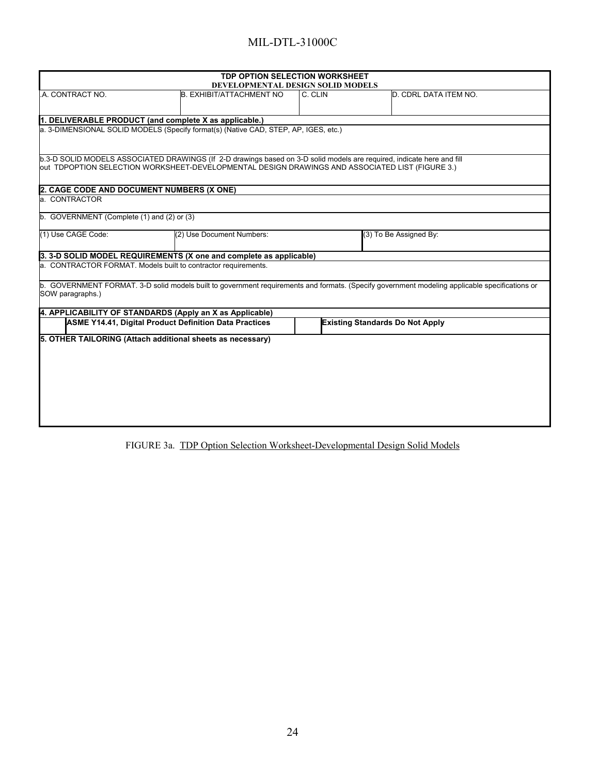| <b>TDP OPTION SELECTION WORKSHEET</b><br>DEVELOPMENTAL DESIGN SOLID MODELS                                                                                                                                                |                           |         |                                                                                                                                                |  |  |  |  |  |
|---------------------------------------------------------------------------------------------------------------------------------------------------------------------------------------------------------------------------|---------------------------|---------|------------------------------------------------------------------------------------------------------------------------------------------------|--|--|--|--|--|
| A. CONTRACT NO.                                                                                                                                                                                                           | B. EXHIBIT/ATTACHMENT NO  | C. CLIN | D. CDRL DATA ITEM NO.                                                                                                                          |  |  |  |  |  |
| 1. DELIVERABLE PRODUCT (and complete X as applicable.)                                                                                                                                                                    |                           |         |                                                                                                                                                |  |  |  |  |  |
| a. 3-DIMENSIONAL SOLID MODELS (Specify format(s) (Native CAD, STEP, AP, IGES, etc.)                                                                                                                                       |                           |         |                                                                                                                                                |  |  |  |  |  |
| b.3-D SOLID MODELS ASSOCIATED DRAWINGS (If 2-D drawings based on 3-D solid models are required, indicate here and fill<br>out TDPOPTION SELECTION WORKSHEET-DEVELOPMENTAL DESIGN DRAWINGS AND ASSOCIATED LIST (FIGURE 3.) |                           |         |                                                                                                                                                |  |  |  |  |  |
| 2. CAGE CODE AND DOCUMENT NUMBERS (X ONE)                                                                                                                                                                                 |                           |         |                                                                                                                                                |  |  |  |  |  |
| a. CONTRACTOR                                                                                                                                                                                                             |                           |         |                                                                                                                                                |  |  |  |  |  |
| b. GOVERNMENT (Complete (1) and (2) or (3)                                                                                                                                                                                |                           |         |                                                                                                                                                |  |  |  |  |  |
| (1) Use CAGE Code:                                                                                                                                                                                                        | (2) Use Document Numbers: |         | (3) To Be Assigned By:                                                                                                                         |  |  |  |  |  |
| 3. 3-D SOLID MODEL REQUIREMENTS (X one and complete as applicable)                                                                                                                                                        |                           |         |                                                                                                                                                |  |  |  |  |  |
| a. CONTRACTOR FORMAT. Models built to contractor requirements.                                                                                                                                                            |                           |         |                                                                                                                                                |  |  |  |  |  |
| SOW paragraphs.)                                                                                                                                                                                                          |                           |         | b. GOVERNMENT FORMAT. 3-D solid models built to government requirements and formats. (Specify government modeling applicable specifications or |  |  |  |  |  |
| 4. APPLICABILITY OF STANDARDS (Apply an X as Applicable)                                                                                                                                                                  |                           |         |                                                                                                                                                |  |  |  |  |  |
| <b>ASME Y14.41, Digital Product Definition Data Practices</b>                                                                                                                                                             |                           |         | <b>Existing Standards Do Not Apply</b>                                                                                                         |  |  |  |  |  |
| 5. OTHER TAILORING (Attach additional sheets as necessary)                                                                                                                                                                |                           |         |                                                                                                                                                |  |  |  |  |  |

FIGURE 3a. TDP Option Selection Worksheet-Developmental Design Solid Models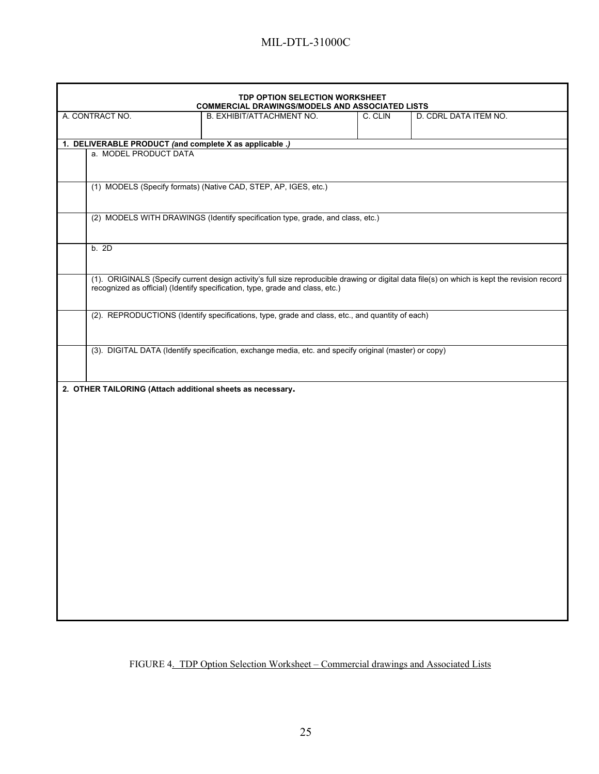|                 |                       | TDP OPTION SELECTION WORKSHEET<br><b>COMMERCIAL DRAWINGS/MODELS AND ASSOCIATED LISTS</b>               |         |                                                                                                                                               |
|-----------------|-----------------------|--------------------------------------------------------------------------------------------------------|---------|-----------------------------------------------------------------------------------------------------------------------------------------------|
| A. CONTRACT NO. |                       | B. EXHIBIT/ATTACHMENT NO.                                                                              | C. CLIN | D. CDRL DATA ITEM NO.                                                                                                                         |
|                 |                       | 1. DELIVERABLE PRODUCT (and complete X as applicable .)                                                |         |                                                                                                                                               |
|                 | a. MODEL PRODUCT DATA |                                                                                                        |         |                                                                                                                                               |
|                 |                       |                                                                                                        |         |                                                                                                                                               |
|                 |                       | (1) MODELS (Specify formats) (Native CAD, STEP, AP, IGES, etc.)                                        |         |                                                                                                                                               |
|                 |                       | (2) MODELS WITH DRAWINGS (Identify specification type, grade, and class, etc.)                         |         |                                                                                                                                               |
|                 | b. 2D                 |                                                                                                        |         |                                                                                                                                               |
|                 |                       | recognized as official) (Identify specification, type, grade and class, etc.)                          |         | (1). ORIGINALS (Specify current design activity's full size reproducible drawing or digital data file(s) on which is kept the revision record |
|                 |                       | (2). REPRODUCTIONS (Identify specifications, type, grade and class, etc., and quantity of each)        |         |                                                                                                                                               |
|                 |                       | (3). DIGITAL DATA (Identify specification, exchange media, etc. and specify original (master) or copy) |         |                                                                                                                                               |
|                 |                       | 2. OTHER TAILORING (Attach additional sheets as necessary.                                             |         |                                                                                                                                               |
|                 |                       |                                                                                                        |         |                                                                                                                                               |
|                 |                       |                                                                                                        |         |                                                                                                                                               |
|                 |                       |                                                                                                        |         |                                                                                                                                               |
|                 |                       |                                                                                                        |         |                                                                                                                                               |
|                 |                       |                                                                                                        |         |                                                                                                                                               |
|                 |                       |                                                                                                        |         |                                                                                                                                               |
|                 |                       |                                                                                                        |         |                                                                                                                                               |

# FIGURE 4. TDP Option Selection Worksheet – Commercial drawings and Associated Lists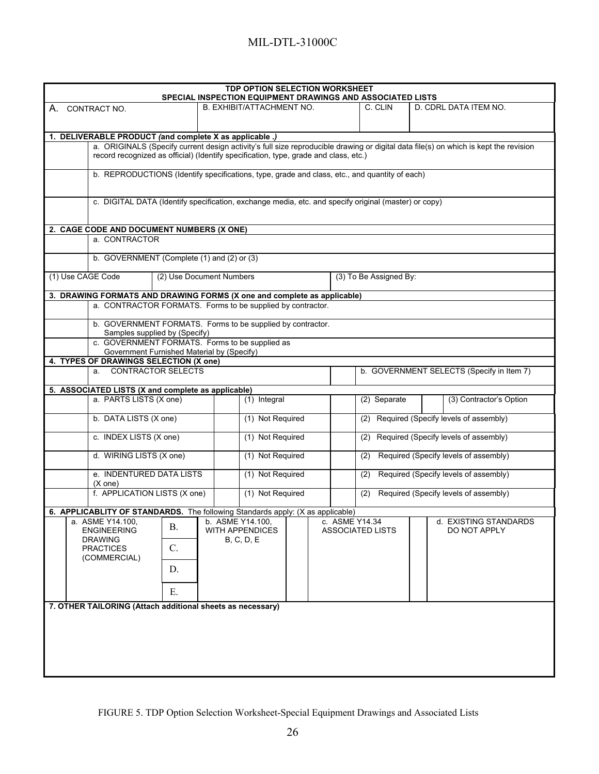| <b>TDP OPTION SELECTION WORKSHEET</b><br><b>SPECIAL INSPECTION EQUIPMENT DRAWINGS AND ASSOCIATED LISTS</b>                           |                                  |                         |                                              |                                       |                                           |  |  |  |
|--------------------------------------------------------------------------------------------------------------------------------------|----------------------------------|-------------------------|----------------------------------------------|---------------------------------------|-------------------------------------------|--|--|--|
| CONTRACT NO.<br>А.                                                                                                                   | <b>B. EXHIBIT/ATTACHMENT NO.</b> |                         | C. CLIN                                      |                                       | D. CDRL DATA ITEM NO.                     |  |  |  |
|                                                                                                                                      |                                  |                         |                                              |                                       |                                           |  |  |  |
| 1. DELIVERABLE PRODUCT (and complete X as applicable .)                                                                              |                                  |                         |                                              |                                       |                                           |  |  |  |
| a. ORIGINALS (Specify current design activity's full size reproducible drawing or digital data file(s) on which is kept the revision |                                  |                         |                                              |                                       |                                           |  |  |  |
| record recognized as official) (Identify specification, type, grade and class, etc.)                                                 |                                  |                         |                                              |                                       |                                           |  |  |  |
| b. REPRODUCTIONS (Identify specifications, type, grade and class, etc., and quantity of each)                                        |                                  |                         |                                              |                                       |                                           |  |  |  |
|                                                                                                                                      |                                  |                         |                                              |                                       |                                           |  |  |  |
| c. DIGITAL DATA (Identify specification, exchange media, etc. and specify original (master) or copy)                                 |                                  |                         |                                              |                                       |                                           |  |  |  |
|                                                                                                                                      |                                  |                         |                                              |                                       |                                           |  |  |  |
| 2. CAGE CODE AND DOCUMENT NUMBERS (X ONE)                                                                                            |                                  |                         |                                              |                                       |                                           |  |  |  |
| a. CONTRACTOR                                                                                                                        |                                  |                         |                                              |                                       |                                           |  |  |  |
| b. GOVERNMENT (Complete (1) and (2) or (3)                                                                                           |                                  |                         |                                              |                                       |                                           |  |  |  |
|                                                                                                                                      |                                  |                         |                                              |                                       |                                           |  |  |  |
| (1) Use CAGE Code                                                                                                                    | (2) Use Document Numbers         |                         | (3) To Be Assigned By:                       |                                       |                                           |  |  |  |
| 3. DRAWING FORMATS AND DRAWING FORMS (X one and complete as applicable)                                                              |                                  |                         |                                              |                                       |                                           |  |  |  |
| a. CONTRACTOR FORMATS. Forms to be supplied by contractor.                                                                           |                                  |                         |                                              |                                       |                                           |  |  |  |
| b. GOVERNMENT FORMATS. Forms to be supplied by contractor.                                                                           |                                  |                         |                                              |                                       |                                           |  |  |  |
| Samples supplied by (Specify)<br>c. GOVERNMENT FORMATS. Forms to be supplied as                                                      |                                  |                         |                                              |                                       |                                           |  |  |  |
| Government Furnished Material by (Specify)                                                                                           |                                  |                         |                                              |                                       |                                           |  |  |  |
| 4. TYPES OF DRAWINGS SELECTION (X one)                                                                                               |                                  |                         |                                              |                                       |                                           |  |  |  |
| a. CONTRACTOR SELECTS                                                                                                                |                                  |                         |                                              |                                       | b. GOVERNMENT SELECTS (Specify in Item 7) |  |  |  |
| 5. ASSOCIATED LISTS (X and complete as applicable)                                                                                   |                                  |                         |                                              |                                       |                                           |  |  |  |
| a. PARTS LISTS (X one)                                                                                                               | (1) Integral                     |                         | (2) Separate                                 |                                       | (3) Contractor's Option                   |  |  |  |
| b. DATA LISTS (X one)                                                                                                                | (1) Not Required                 |                         | (2)                                          | Required (Specify levels of assembly) |                                           |  |  |  |
| c. INDEX LISTS (X one)                                                                                                               | (1) Not Required                 |                         | Required (Specify levels of assembly)<br>(2) |                                       |                                           |  |  |  |
| d. WIRING LISTS (X one)                                                                                                              | (1) Not Required                 |                         | (2)                                          |                                       | Required (Specify levels of assembly)     |  |  |  |
| e. INDENTURED DATA LISTS<br>$(X \text{ one})$                                                                                        | (1) Not Required                 |                         | (2)                                          |                                       | Required (Specify levels of assembly)     |  |  |  |
| f. APPLICATION LISTS (X one)                                                                                                         | (1) Not Required                 |                         | (2)                                          |                                       | Required (Specify levels of assembly)     |  |  |  |
| 6. APPLICABLITY OF STANDARDS. The following Standards apply: (X as applicable)                                                       |                                  |                         |                                              |                                       |                                           |  |  |  |
| a.  ASME Y14.100,                                                                                                                    | b. ASME Y14.100,                 | c. ASME Y14.34          |                                              |                                       | d. EXISTING STANDARDS                     |  |  |  |
| <b>B.</b><br><b>ENGINEERING</b>                                                                                                      | <b>WITH APPENDICES</b>           | <b>ASSOCIATED LISTS</b> |                                              |                                       | DO NOT APPLY                              |  |  |  |
| <b>DRAWING</b><br>$C$ .<br><b>PRACTICES</b>                                                                                          | <b>B, C, D, E</b>                |                         |                                              |                                       |                                           |  |  |  |
| (COMMERCIAL)                                                                                                                         |                                  |                         |                                              |                                       |                                           |  |  |  |
| D.                                                                                                                                   |                                  |                         |                                              |                                       |                                           |  |  |  |
| E.                                                                                                                                   |                                  |                         |                                              |                                       |                                           |  |  |  |
| 7. OTHER TAILORING (Attach additional sheets as necessary)                                                                           |                                  |                         |                                              |                                       |                                           |  |  |  |
|                                                                                                                                      |                                  |                         |                                              |                                       |                                           |  |  |  |
|                                                                                                                                      |                                  |                         |                                              |                                       |                                           |  |  |  |
|                                                                                                                                      |                                  |                         |                                              |                                       |                                           |  |  |  |
|                                                                                                                                      |                                  |                         |                                              |                                       |                                           |  |  |  |
|                                                                                                                                      |                                  |                         |                                              |                                       |                                           |  |  |  |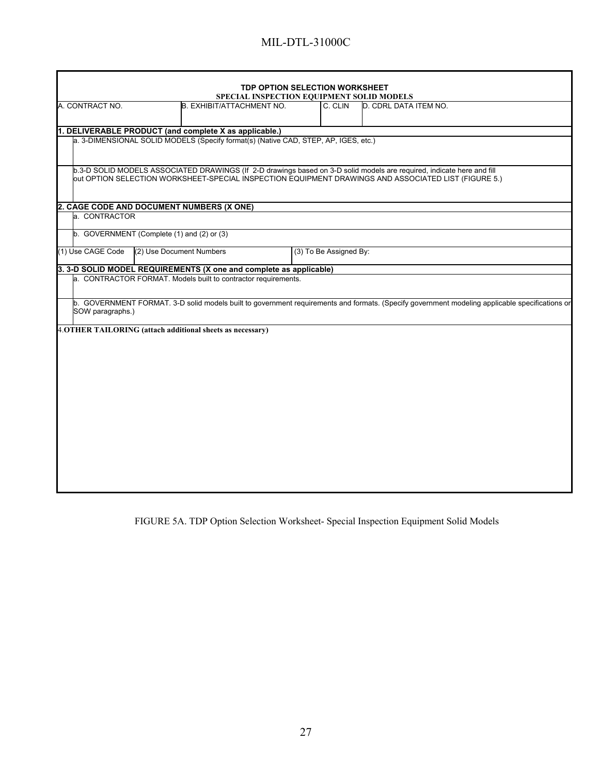|                                                                                     |                          |                           | <b>TDP OPTION SELECTION WORKSHEET</b> |                        |                                                                                                                                                                                                                                |                                                                                                                                                |
|-------------------------------------------------------------------------------------|--------------------------|---------------------------|---------------------------------------|------------------------|--------------------------------------------------------------------------------------------------------------------------------------------------------------------------------------------------------------------------------|------------------------------------------------------------------------------------------------------------------------------------------------|
|                                                                                     |                          |                           |                                       |                        | SPECIAL INSPECTION EQUIPMENT SOLID MODELS                                                                                                                                                                                      |                                                                                                                                                |
| A. CONTRACT NO.                                                                     |                          | B. EXHIBIT/ATTACHMENT NO. |                                       | C. CLIN                | D. CDRL DATA ITEM NO.                                                                                                                                                                                                          |                                                                                                                                                |
| 1. DELIVERABLE PRODUCT (and complete X as applicable.)                              |                          |                           |                                       |                        |                                                                                                                                                                                                                                |                                                                                                                                                |
| a. 3-DIMENSIONAL SOLID MODELS (Specify format(s) (Native CAD, STEP, AP, IGES, etc.) |                          |                           |                                       |                        |                                                                                                                                                                                                                                |                                                                                                                                                |
|                                                                                     |                          |                           |                                       |                        | b.3-D SOLID MODELS ASSOCIATED DRAWINGS (If 2-D drawings based on 3-D solid models are required, indicate here and fill<br>out OPTION SELECTION WORKSHEET-SPECIAL INSPECTION EQUIPMENT DRAWINGS AND ASSOCIATED LIST (FIGURE 5.) |                                                                                                                                                |
| 2. CAGE CODE AND DOCUMENT NUMBERS (X ONE)                                           |                          |                           |                                       |                        |                                                                                                                                                                                                                                |                                                                                                                                                |
| a. CONTRACTOR                                                                       |                          |                           |                                       |                        |                                                                                                                                                                                                                                |                                                                                                                                                |
| b. GOVERNMENT (Complete (1) and (2) or (3)                                          |                          |                           |                                       |                        |                                                                                                                                                                                                                                |                                                                                                                                                |
| (1) Use CAGE Code                                                                   | (2) Use Document Numbers |                           |                                       | (3) To Be Assigned By: |                                                                                                                                                                                                                                |                                                                                                                                                |
| 3. 3-D SOLID MODEL REQUIREMENTS (X one and complete as applicable)                  |                          |                           |                                       |                        |                                                                                                                                                                                                                                |                                                                                                                                                |
| a. CONTRACTOR FORMAT. Models built to contractor requirements.                      |                          |                           |                                       |                        |                                                                                                                                                                                                                                |                                                                                                                                                |
| SOW paragraphs.)                                                                    |                          |                           |                                       |                        |                                                                                                                                                                                                                                | b. GOVERNMENT FORMAT. 3-D solid models built to government requirements and formats. (Specify government modeling applicable specifications or |
| 4. OTHER TAILORING (attach additional sheets as necessary)                          |                          |                           |                                       |                        |                                                                                                                                                                                                                                |                                                                                                                                                |
|                                                                                     |                          |                           |                                       |                        |                                                                                                                                                                                                                                |                                                                                                                                                |
|                                                                                     |                          |                           |                                       |                        |                                                                                                                                                                                                                                |                                                                                                                                                |
|                                                                                     |                          |                           |                                       |                        |                                                                                                                                                                                                                                |                                                                                                                                                |
|                                                                                     |                          |                           |                                       |                        |                                                                                                                                                                                                                                |                                                                                                                                                |
|                                                                                     |                          |                           |                                       |                        |                                                                                                                                                                                                                                |                                                                                                                                                |
|                                                                                     |                          |                           |                                       |                        |                                                                                                                                                                                                                                |                                                                                                                                                |
|                                                                                     |                          |                           |                                       |                        |                                                                                                                                                                                                                                |                                                                                                                                                |
|                                                                                     |                          |                           |                                       |                        |                                                                                                                                                                                                                                |                                                                                                                                                |
|                                                                                     |                          |                           |                                       |                        |                                                                                                                                                                                                                                |                                                                                                                                                |

FIGURE 5A. TDP Option Selection Worksheet- Special Inspection Equipment Solid Models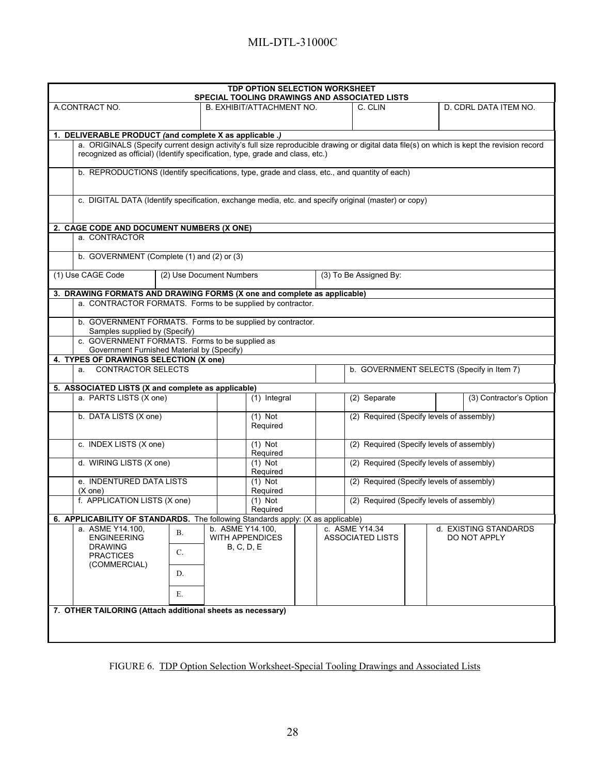| <b>TDP OPTION SELECTION WORKSHEET</b><br><b>SPECIAL TOOLING DRAWINGS AND ASSOCIATED LISTS</b>                                                                                                                                |                                                       |                           |                 |  |                                           |                                           |  |                         |                                           |
|------------------------------------------------------------------------------------------------------------------------------------------------------------------------------------------------------------------------------|-------------------------------------------------------|---------------------------|-----------------|--|-------------------------------------------|-------------------------------------------|--|-------------------------|-------------------------------------------|
| A CONTRACT NO.                                                                                                                                                                                                               |                                                       | B. EXHIBIT/ATTACHMENT NO. |                 |  |                                           | C. CLIN                                   |  |                         | D. CDRL DATA ITEM NO.                     |
|                                                                                                                                                                                                                              |                                                       |                           |                 |  |                                           |                                           |  |                         |                                           |
| 1. DELIVERABLE PRODUCT (and complete X as applicable .)                                                                                                                                                                      |                                                       |                           |                 |  |                                           |                                           |  |                         |                                           |
| a. ORIGINALS (Specify current design activity's full size reproducible drawing or digital data file(s) on which is kept the revision record<br>recognized as official) (Identify specification, type, grade and class, etc.) |                                                       |                           |                 |  |                                           |                                           |  |                         |                                           |
| b. REPRODUCTIONS (Identify specifications, type, grade and class, etc., and quantity of each)                                                                                                                                |                                                       |                           |                 |  |                                           |                                           |  |                         |                                           |
| c. DIGITAL DATA (Identify specification, exchange media, etc. and specify original (master) or copy)                                                                                                                         |                                                       |                           |                 |  |                                           |                                           |  |                         |                                           |
| 2. CAGE CODE AND DOCUMENT NUMBERS (X ONE)                                                                                                                                                                                    |                                                       |                           |                 |  |                                           |                                           |  |                         |                                           |
| a. CONTRACTOR                                                                                                                                                                                                                |                                                       |                           |                 |  |                                           |                                           |  |                         |                                           |
| b. GOVERNMENT (Complete (1) and (2) or (3)                                                                                                                                                                                   |                                                       |                           |                 |  |                                           |                                           |  |                         |                                           |
| (1) Use CAGE Code                                                                                                                                                                                                            |                                                       | (2) Use Document Numbers  |                 |  |                                           | (3) To Be Assigned By:                    |  |                         |                                           |
| 3. DRAWING FORMATS AND DRAWING FORMS (X one and complete as applicable)                                                                                                                                                      |                                                       |                           |                 |  |                                           |                                           |  |                         |                                           |
| a. CONTRACTOR FORMATS. Forms to be supplied by contractor.                                                                                                                                                                   |                                                       |                           |                 |  |                                           |                                           |  |                         |                                           |
| b. GOVERNMENT FORMATS. Forms to be supplied by contractor.<br>Samples supplied by (Specify)                                                                                                                                  |                                                       |                           |                 |  |                                           |                                           |  |                         |                                           |
| c. GOVERNMENT FORMATS. Forms to be supplied as                                                                                                                                                                               |                                                       |                           |                 |  |                                           |                                           |  |                         |                                           |
| Government Furnished Material by (Specify)<br>4. TYPES OF DRAWINGS SELECTION (X one)                                                                                                                                         |                                                       |                           |                 |  |                                           |                                           |  |                         |                                           |
| a. CONTRACTOR SELECTS                                                                                                                                                                                                        |                                                       |                           |                 |  |                                           |                                           |  |                         | b. GOVERNMENT SELECTS (Specify in Item 7) |
| 5. ASSOCIATED LISTS (X and complete as applicable)                                                                                                                                                                           |                                                       |                           |                 |  |                                           |                                           |  |                         |                                           |
| a. PARTS LISTS (X one)                                                                                                                                                                                                       |                                                       | $\overline{(1)}$ Integral |                 |  |                                           | (2) Separate                              |  | (3) Contractor's Option |                                           |
| b. DATA LISTS (X one)                                                                                                                                                                                                        |                                                       | $(1)$ Not<br>Required     |                 |  |                                           | (2) Required (Specify levels of assembly) |  |                         |                                           |
| c. INDEX LISTS (X one)                                                                                                                                                                                                       |                                                       | $(1)$ Not<br>Required     |                 |  |                                           | (2) Required (Specify levels of assembly) |  |                         |                                           |
| d. WIRING LISTS (X one)                                                                                                                                                                                                      |                                                       | $(1)$ Not<br>Required     |                 |  | (2) Required (Specify levels of assembly) |                                           |  |                         |                                           |
| e. INDENTURED DATA LISTS<br>$(X \text{ one})$                                                                                                                                                                                |                                                       | $(1)$ Not<br>Required     |                 |  | (2) Required (Specify levels of assembly) |                                           |  |                         |                                           |
|                                                                                                                                                                                                                              | f. APPLICATION LISTS (X one)<br>$(1)$ Not<br>Required |                           |                 |  | (2) Required (Specify levels of assembly) |                                           |  |                         |                                           |
| 6. APPLICABILITY OF STANDARDS. The following Standards apply: (X as applicable)                                                                                                                                              |                                                       |                           |                 |  |                                           |                                           |  |                         |                                           |
| a. ASME Y14.100.<br>В.<br><b>ENGINEERING</b>                                                                                                                                                                                 |                                                       | b. ASME Y14.100,          | WITH APPENDICES |  |                                           | c. ASME Y14.34<br><b>ASSOCIATED LISTS</b> |  |                         | d. EXISTING STANDARDS<br>DO NOT APPLY     |
| <b>DRAWING</b>                                                                                                                                                                                                               |                                                       | <b>B, C, D, E</b>         |                 |  |                                           |                                           |  |                         |                                           |
| C.<br><b>PRACTICES</b><br>(COMMERCIAL)                                                                                                                                                                                       |                                                       |                           |                 |  |                                           |                                           |  |                         |                                           |
| D.                                                                                                                                                                                                                           |                                                       |                           |                 |  |                                           |                                           |  |                         |                                           |
| Е.                                                                                                                                                                                                                           |                                                       |                           |                 |  |                                           |                                           |  |                         |                                           |
| 7. OTHER TAILORING (Attach additional sheets as necessary)                                                                                                                                                                   |                                                       |                           |                 |  |                                           |                                           |  |                         |                                           |
|                                                                                                                                                                                                                              |                                                       |                           |                 |  |                                           |                                           |  |                         |                                           |
|                                                                                                                                                                                                                              |                                                       |                           |                 |  |                                           |                                           |  |                         |                                           |

FIGURE 6. TDP Option Selection Worksheet-Special Tooling Drawings and Associated Lists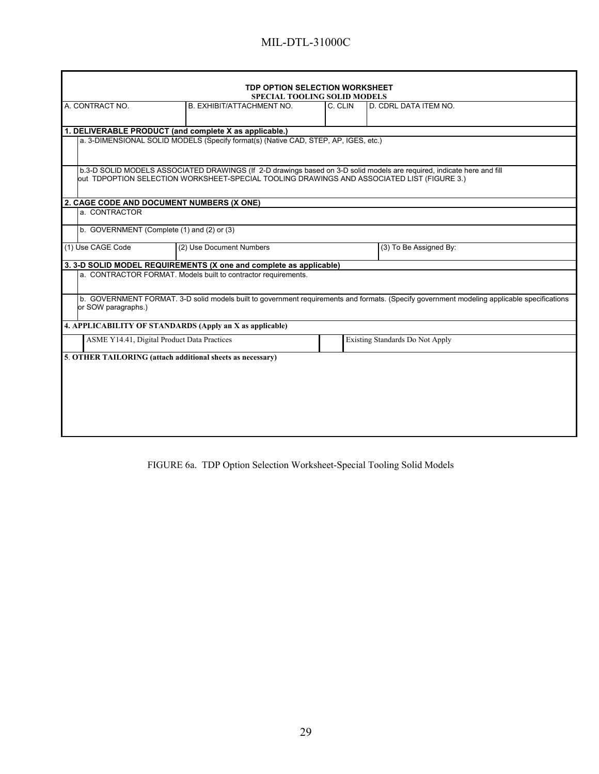| TDP OPTION SELECTION WORKSHEET<br><b>SPECIAL TOOLING SOLID MODELS</b>                                                                                                                                                |                                                                                     |         |                                 |  |  |  |
|----------------------------------------------------------------------------------------------------------------------------------------------------------------------------------------------------------------------|-------------------------------------------------------------------------------------|---------|---------------------------------|--|--|--|
| A. CONTRACT NO.<br>B. EXHIBIT/ATTACHMENT NO.                                                                                                                                                                         |                                                                                     | C. CLIN | D. CDRL DATA ITEM NO.           |  |  |  |
|                                                                                                                                                                                                                      |                                                                                     |         |                                 |  |  |  |
| 1. DELIVERABLE PRODUCT (and complete X as applicable.)                                                                                                                                                               |                                                                                     |         |                                 |  |  |  |
|                                                                                                                                                                                                                      | a. 3-DIMENSIONAL SOLID MODELS (Specify format(s) (Native CAD, STEP, AP, IGES, etc.) |         |                                 |  |  |  |
| b.3-D SOLID MODELS ASSOCIATED DRAWINGS (If 2-D drawings based on 3-D solid models are required, indicate here and fill<br>out TDPOPTION SELECTION WORKSHEET-SPECIAL TOOLING DRAWINGS AND ASSOCIATED LIST (FIGURE 3.) |                                                                                     |         |                                 |  |  |  |
| 2. CAGE CODE AND DOCUMENT NUMBERS (X ONE)                                                                                                                                                                            |                                                                                     |         |                                 |  |  |  |
| a. CONTRACTOR                                                                                                                                                                                                        |                                                                                     |         |                                 |  |  |  |
| b. GOVERNMENT (Complete (1) and (2) or (3)                                                                                                                                                                           |                                                                                     |         |                                 |  |  |  |
| (1) Use CAGE Code                                                                                                                                                                                                    | (2) Use Document Numbers                                                            |         | (3) To Be Assigned By:          |  |  |  |
|                                                                                                                                                                                                                      | 3. 3-D SOLID MODEL REQUIREMENTS (X one and complete as applicable)                  |         |                                 |  |  |  |
| a. CONTRACTOR FORMAT. Models built to contractor requirements.                                                                                                                                                       |                                                                                     |         |                                 |  |  |  |
| b. GOVERNMENT FORMAT. 3-D solid models built to government requirements and formats. (Specify government modeling applicable specifications<br>or SOW paragraphs.)                                                   |                                                                                     |         |                                 |  |  |  |
| 4. APPLICABILITY OF STANDARDS (Apply an X as applicable)                                                                                                                                                             |                                                                                     |         |                                 |  |  |  |
| ASME Y14.41, Digital Product Data Practices                                                                                                                                                                          |                                                                                     |         | Existing Standards Do Not Apply |  |  |  |
| 5. OTHER TAILORING (attach additional sheets as necessary)                                                                                                                                                           |                                                                                     |         |                                 |  |  |  |
|                                                                                                                                                                                                                      |                                                                                     |         |                                 |  |  |  |
|                                                                                                                                                                                                                      |                                                                                     |         |                                 |  |  |  |
|                                                                                                                                                                                                                      |                                                                                     |         |                                 |  |  |  |
|                                                                                                                                                                                                                      |                                                                                     |         |                                 |  |  |  |
|                                                                                                                                                                                                                      |                                                                                     |         |                                 |  |  |  |
|                                                                                                                                                                                                                      |                                                                                     |         |                                 |  |  |  |
|                                                                                                                                                                                                                      |                                                                                     |         |                                 |  |  |  |

FIGURE 6a. TDP Option Selection Worksheet-Special Tooling Solid Models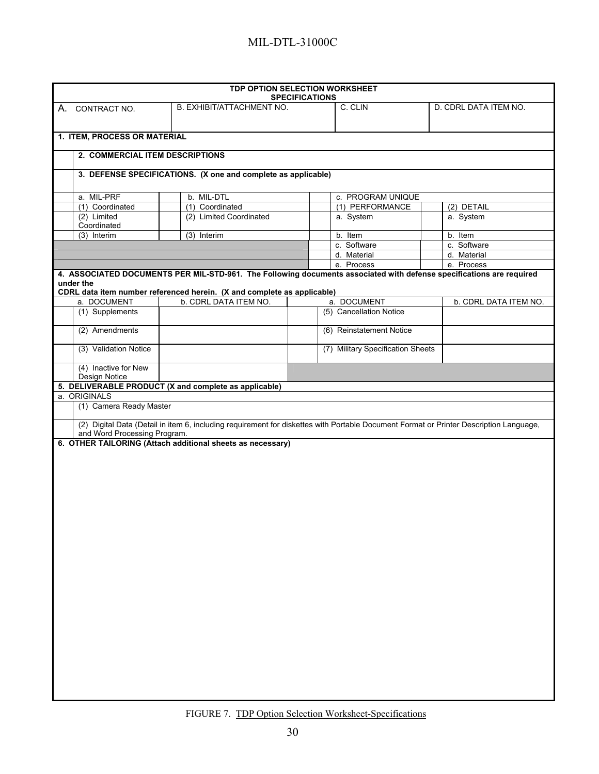| TDP OPTION SELECTION WORKSHEET                        |                                                                                                  |                       |                                   |                                                                                                                                        |  |
|-------------------------------------------------------|--------------------------------------------------------------------------------------------------|-----------------------|-----------------------------------|----------------------------------------------------------------------------------------------------------------------------------------|--|
|                                                       |                                                                                                  | <b>SPECIFICATIONS</b> |                                   |                                                                                                                                        |  |
| CONTRACT NO.<br>А.                                    | B. EXHIBIT/ATTACHMENT NO.                                                                        |                       | C. CLIN                           | D. CDRL DATA ITEM NO.                                                                                                                  |  |
| 1. ITEM, PROCESS OR MATERIAL                          |                                                                                                  |                       |                                   |                                                                                                                                        |  |
| 2. COMMERCIAL ITEM DESCRIPTIONS                       |                                                                                                  |                       |                                   |                                                                                                                                        |  |
|                                                       | 3. DEFENSE SPECIFICATIONS. (X one and complete as applicable)                                    |                       |                                   |                                                                                                                                        |  |
|                                                       |                                                                                                  |                       |                                   |                                                                                                                                        |  |
| a. MIL-PRF                                            | b. MIL-DTL                                                                                       |                       | c. PROGRAM UNIQUE                 |                                                                                                                                        |  |
| (1) Coordinated                                       | (1) Coordinated                                                                                  |                       | (1) PERFORMANCE                   | (2) DETAIL                                                                                                                             |  |
| $(2)$ Limited                                         | (2) Limited Coordinated                                                                          |                       | a. System                         | a. System                                                                                                                              |  |
| Coordinated                                           |                                                                                                  |                       |                                   |                                                                                                                                        |  |
| (3) Interim                                           | (3) Interim                                                                                      |                       | b. Item                           | b. Item                                                                                                                                |  |
|                                                       |                                                                                                  |                       | c. Software                       | c. Software                                                                                                                            |  |
|                                                       |                                                                                                  |                       | d. Material                       | d. Material                                                                                                                            |  |
|                                                       |                                                                                                  |                       | e. Process                        | e. Process                                                                                                                             |  |
| under the                                             |                                                                                                  |                       |                                   | 4. ASSOCIATED DOCUMENTS PER MIL-STD-961. The Following documents associated with defense specifications are required                   |  |
| a. DOCUMENT                                           | CDRL data item number referenced herein. (X and complete as applicable)<br>b. CDRL DATA ITEM NO. |                       | a. DOCUMENT                       |                                                                                                                                        |  |
| (1) Supplements                                       |                                                                                                  |                       | (5) Cancellation Notice           | b. CDRL DATA ITEM NO.                                                                                                                  |  |
|                                                       |                                                                                                  |                       |                                   |                                                                                                                                        |  |
| (2) Amendments                                        |                                                                                                  |                       | (6) Reinstatement Notice          |                                                                                                                                        |  |
| (3) Validation Notice                                 |                                                                                                  |                       | (7) Military Specification Sheets |                                                                                                                                        |  |
| (4) Inactive for New                                  |                                                                                                  |                       |                                   |                                                                                                                                        |  |
| Design Notice                                         |                                                                                                  |                       |                                   |                                                                                                                                        |  |
| 5. DELIVERABLE PRODUCT (X and complete as applicable) |                                                                                                  |                       |                                   |                                                                                                                                        |  |
| a. ORIGINALS                                          |                                                                                                  |                       |                                   |                                                                                                                                        |  |
| (1) Camera Ready Master                               |                                                                                                  |                       |                                   |                                                                                                                                        |  |
|                                                       |                                                                                                  |                       |                                   | (2) Digital Data (Detail in item 6, including requirement for diskettes with Portable Document Format or Printer Description Language, |  |
| and Word Processing Program.                          |                                                                                                  |                       |                                   |                                                                                                                                        |  |
|                                                       | 6. OTHER TAILORING (Attach additional sheets as necessary)                                       |                       |                                   |                                                                                                                                        |  |
|                                                       |                                                                                                  |                       |                                   |                                                                                                                                        |  |
|                                                       |                                                                                                  |                       |                                   |                                                                                                                                        |  |
|                                                       |                                                                                                  |                       |                                   |                                                                                                                                        |  |
|                                                       |                                                                                                  |                       |                                   |                                                                                                                                        |  |
|                                                       |                                                                                                  |                       |                                   |                                                                                                                                        |  |
|                                                       |                                                                                                  |                       |                                   |                                                                                                                                        |  |
|                                                       |                                                                                                  |                       |                                   |                                                                                                                                        |  |
|                                                       |                                                                                                  |                       |                                   |                                                                                                                                        |  |
|                                                       |                                                                                                  |                       |                                   |                                                                                                                                        |  |
|                                                       |                                                                                                  |                       |                                   |                                                                                                                                        |  |
|                                                       |                                                                                                  |                       |                                   |                                                                                                                                        |  |
|                                                       |                                                                                                  |                       |                                   |                                                                                                                                        |  |
|                                                       |                                                                                                  |                       |                                   |                                                                                                                                        |  |
|                                                       |                                                                                                  |                       |                                   |                                                                                                                                        |  |
|                                                       |                                                                                                  |                       |                                   |                                                                                                                                        |  |
|                                                       |                                                                                                  |                       |                                   |                                                                                                                                        |  |
|                                                       |                                                                                                  |                       |                                   |                                                                                                                                        |  |
|                                                       |                                                                                                  |                       |                                   |                                                                                                                                        |  |
|                                                       |                                                                                                  |                       |                                   |                                                                                                                                        |  |
|                                                       |                                                                                                  |                       |                                   |                                                                                                                                        |  |
|                                                       |                                                                                                  |                       |                                   |                                                                                                                                        |  |
|                                                       |                                                                                                  |                       |                                   |                                                                                                                                        |  |
|                                                       |                                                                                                  |                       |                                   |                                                                                                                                        |  |
|                                                       |                                                                                                  |                       |                                   |                                                                                                                                        |  |
|                                                       |                                                                                                  |                       |                                   |                                                                                                                                        |  |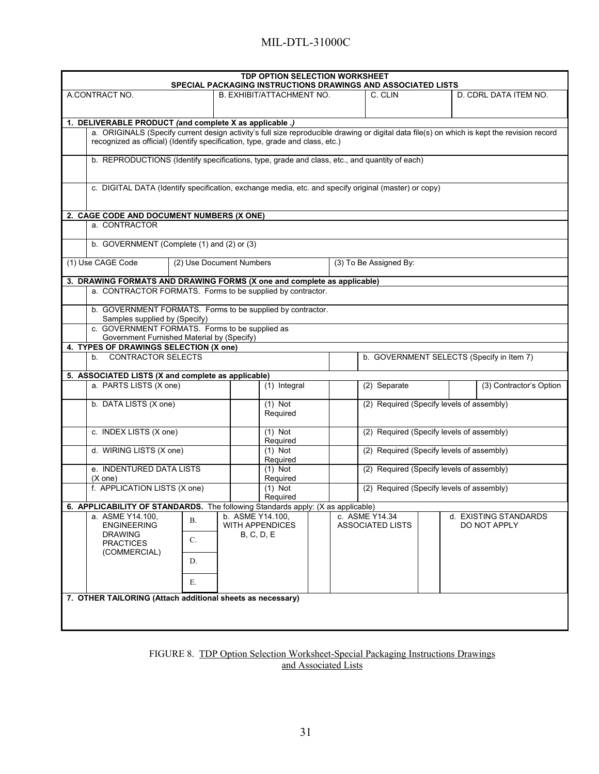| <b>TDP OPTION SELECTION WORKSHEET</b><br>SPECIAL PACKAGING INSTRUCTIONS DRAWINGS AND ASSOCIATED LISTS                                                                                                                        |                                     |                                    |                                           |                                           |
|------------------------------------------------------------------------------------------------------------------------------------------------------------------------------------------------------------------------------|-------------------------------------|------------------------------------|-------------------------------------------|-------------------------------------------|
| A CONTRACT NO.                                                                                                                                                                                                               | <b>B. EXHIBIT/ATTACHMENT NO.</b>    |                                    | C. CLIN                                   | D. CDRL DATA ITEM NO.                     |
|                                                                                                                                                                                                                              |                                     |                                    |                                           |                                           |
| 1. DELIVERABLE PRODUCT (and complete X as applicable .)                                                                                                                                                                      |                                     |                                    |                                           |                                           |
| a. ORIGINALS (Specify current design activity's full size reproducible drawing or digital data file(s) on which is kept the revision record<br>recognized as official) (Identify specification, type, grade and class, etc.) |                                     |                                    |                                           |                                           |
| b. REPRODUCTIONS (Identify specifications, type, grade and class, etc., and quantity of each)                                                                                                                                |                                     |                                    |                                           |                                           |
| c. DIGITAL DATA (Identify specification, exchange media, etc. and specify original (master) or copy)                                                                                                                         |                                     |                                    |                                           |                                           |
| 2. CAGE CODE AND DOCUMENT NUMBERS (X ONE)                                                                                                                                                                                    |                                     |                                    |                                           |                                           |
| a. CONTRACTOR                                                                                                                                                                                                                |                                     |                                    |                                           |                                           |
| b. GOVERNMENT (Complete (1) and (2) or (3)                                                                                                                                                                                   |                                     |                                    |                                           |                                           |
| (1) Use CAGE Code                                                                                                                                                                                                            | (2) Use Document Numbers            | (3) To Be Assigned By:             |                                           |                                           |
| 3. DRAWING FORMATS AND DRAWING FORMS (X one and complete as applicable)                                                                                                                                                      |                                     |                                    |                                           |                                           |
| a. CONTRACTOR FORMATS. Forms to be supplied by contractor.                                                                                                                                                                   |                                     |                                    |                                           |                                           |
| b. GOVERNMENT FORMATS. Forms to be supplied by contractor.<br>Samples supplied by (Specify)                                                                                                                                  |                                     |                                    |                                           |                                           |
| c. GOVERNMENT FORMATS. Forms to be supplied as<br>Government Furnished Material by (Specify)                                                                                                                                 |                                     |                                    |                                           |                                           |
| 4. TYPES OF DRAWINGS SELECTION (X one)                                                                                                                                                                                       |                                     |                                    |                                           |                                           |
| b. CONTRACTOR SELECTS                                                                                                                                                                                                        |                                     |                                    |                                           | b. GOVERNMENT SELECTS (Specify in Item 7) |
| 5. ASSOCIATED LISTS (X and complete as applicable)<br>a. PARTS LISTS (X one)                                                                                                                                                 | $(1)$ Integral                      |                                    | (2) Separate                              | (3) Contractor's Option                   |
|                                                                                                                                                                                                                              |                                     |                                    |                                           |                                           |
| b. DATA LISTS (X one)                                                                                                                                                                                                        | $(1)$ Not<br>Required               |                                    | (2) Required (Specify levels of assembly) |                                           |
| c. INDEX LISTS (X one)                                                                                                                                                                                                       | $(1)$ Not<br>Required               |                                    | (2) Required (Specify levels of assembly) |                                           |
| d. WIRING LISTS (X one)                                                                                                                                                                                                      | $(1)$ Not<br>Required               |                                    | (2) Required (Specify levels of assembly) |                                           |
| e. INDENTURED DATA LISTS<br>$(X \text{ one})$                                                                                                                                                                                | $(1)$ Not<br>Required               |                                    | (2) Required (Specify levels of assembly) |                                           |
| f. APPLICATION LISTS (X one)                                                                                                                                                                                                 | $(1)$ Not<br>Required               |                                    | (2) Required (Specify levels of assembly) |                                           |
| 6. APPLICABILITY OF STANDARDS. The following Standards apply: (X as applicable)                                                                                                                                              |                                     |                                    |                                           |                                           |
| a. ASME Y14.100,<br>В.<br><b>ENGINEERING</b>                                                                                                                                                                                 | b. ASME Y14.100,<br>WITH APPENDICES | c. ASME Y14.34<br>ASSOCIATED LISTS |                                           | d. EXISTING STANDARDS<br>DO NOT APPLY     |
| <b>DRAWING</b>                                                                                                                                                                                                               | <b>B, C, D, E</b>                   |                                    |                                           |                                           |
| C.<br><b>PRACTICES</b><br>(COMMERCIAL)                                                                                                                                                                                       |                                     |                                    |                                           |                                           |
| D.                                                                                                                                                                                                                           |                                     |                                    |                                           |                                           |
| Е.                                                                                                                                                                                                                           |                                     |                                    |                                           |                                           |
| 7. OTHER TAILORING (Attach additional sheets as necessary)                                                                                                                                                                   |                                     |                                    |                                           |                                           |
|                                                                                                                                                                                                                              |                                     |                                    |                                           |                                           |
|                                                                                                                                                                                                                              |                                     |                                    |                                           |                                           |

FIGURE 8. TDP Option Selection Worksheet-Special Packaging Instructions Drawings and Associated Lists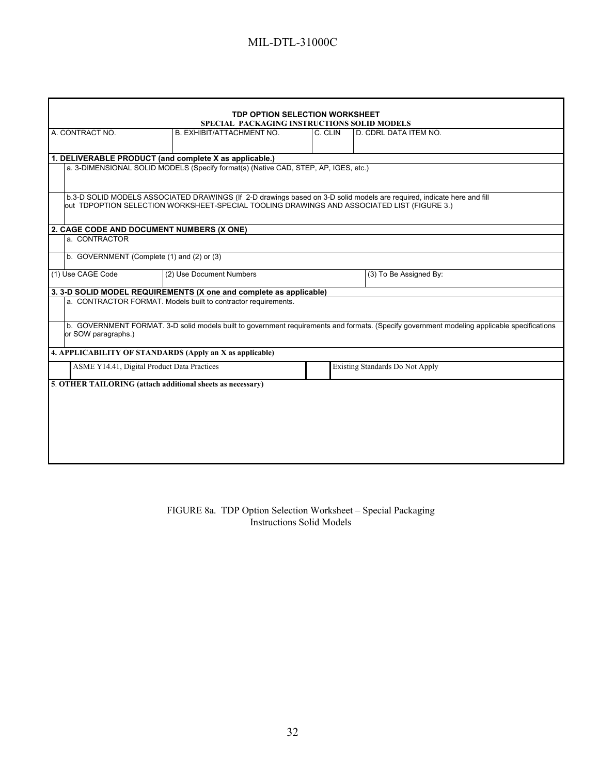|                                                                                                                                                                    | <b>TDP OPTION SELECTION WORKSHEET</b>                                                                                                                                                                                |                        |                                 |                       |  |  |
|--------------------------------------------------------------------------------------------------------------------------------------------------------------------|----------------------------------------------------------------------------------------------------------------------------------------------------------------------------------------------------------------------|------------------------|---------------------------------|-----------------------|--|--|
| SPECIAL PACKAGING INSTRUCTIONS SOLID MODELS<br>A. CONTRACT NO.<br>B. EXHIBIT/ATTACHMENT NO.                                                                        |                                                                                                                                                                                                                      |                        |                                 | D. CDRL DATA ITEM NO. |  |  |
|                                                                                                                                                                    |                                                                                                                                                                                                                      |                        |                                 |                       |  |  |
| 1. DELIVERABLE PRODUCT (and complete X as applicable.)                                                                                                             |                                                                                                                                                                                                                      |                        |                                 |                       |  |  |
|                                                                                                                                                                    | a. 3-DIMENSIONAL SOLID MODELS (Specify format(s) (Native CAD, STEP, AP, IGES, etc.)                                                                                                                                  |                        |                                 |                       |  |  |
|                                                                                                                                                                    | b.3-D SOLID MODELS ASSOCIATED DRAWINGS (If 2-D drawings based on 3-D solid models are required, indicate here and fill<br>out TDPOPTION SELECTION WORKSHEET-SPECIAL TOOLING DRAWINGS AND ASSOCIATED LIST (FIGURE 3.) |                        |                                 |                       |  |  |
| 2. CAGE CODE AND DOCUMENT NUMBERS (X ONE)                                                                                                                          |                                                                                                                                                                                                                      |                        |                                 |                       |  |  |
| a. CONTRACTOR                                                                                                                                                      |                                                                                                                                                                                                                      |                        |                                 |                       |  |  |
| b. GOVERNMENT (Complete (1) and (2) or (3)                                                                                                                         |                                                                                                                                                                                                                      |                        |                                 |                       |  |  |
| (1) Use CAGE Code                                                                                                                                                  | (2) Use Document Numbers                                                                                                                                                                                             | (3) To Be Assigned By: |                                 |                       |  |  |
|                                                                                                                                                                    | 3. 3-D SOLID MODEL REQUIREMENTS (X one and complete as applicable)                                                                                                                                                   |                        |                                 |                       |  |  |
|                                                                                                                                                                    | a. CONTRACTOR FORMAT. Models built to contractor requirements.                                                                                                                                                       |                        |                                 |                       |  |  |
| b. GOVERNMENT FORMAT. 3-D solid models built to government requirements and formats. (Specify government modeling applicable specifications<br>or SOW paragraphs.) |                                                                                                                                                                                                                      |                        |                                 |                       |  |  |
| 4. APPLICABILITY OF STANDARDS (Apply an X as applicable)                                                                                                           |                                                                                                                                                                                                                      |                        |                                 |                       |  |  |
| ASME Y14.41, Digital Product Data Practices                                                                                                                        |                                                                                                                                                                                                                      |                        | Existing Standards Do Not Apply |                       |  |  |
| 5. OTHER TAILORING (attach additional sheets as necessary)                                                                                                         |                                                                                                                                                                                                                      |                        |                                 |                       |  |  |
|                                                                                                                                                                    |                                                                                                                                                                                                                      |                        |                                 |                       |  |  |
|                                                                                                                                                                    |                                                                                                                                                                                                                      |                        |                                 |                       |  |  |
|                                                                                                                                                                    |                                                                                                                                                                                                                      |                        |                                 |                       |  |  |
|                                                                                                                                                                    |                                                                                                                                                                                                                      |                        |                                 |                       |  |  |
|                                                                                                                                                                    |                                                                                                                                                                                                                      |                        |                                 |                       |  |  |
|                                                                                                                                                                    |                                                                                                                                                                                                                      |                        |                                 |                       |  |  |

#### FIGURE 8a. TDP Option Selection Worksheet – Special Packaging Instructions Solid Models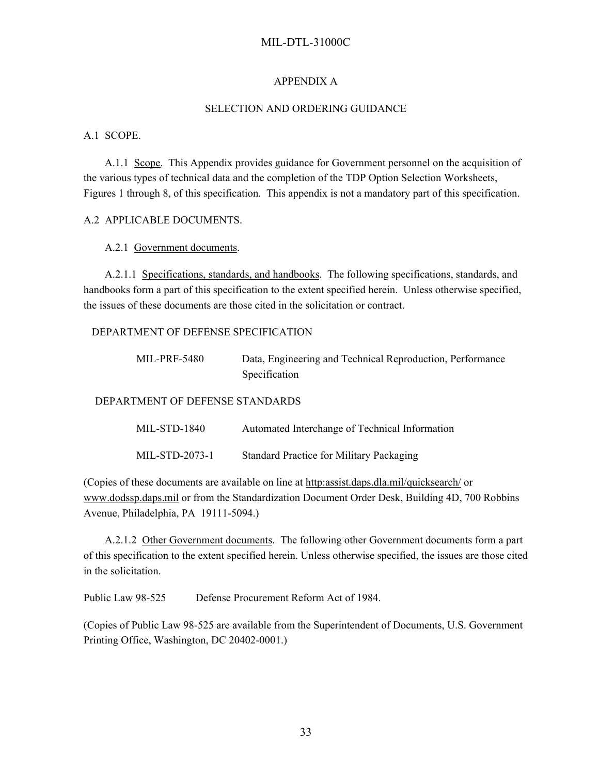### APPENDIX A

#### SELECTION AND ORDERING GUIDANCE

### A.1 SCOPE.

A.1.1 Scope. This Appendix provides guidance for Government personnel on the acquisition of the various types of technical data and the completion of the TDP Option Selection Worksheets, Figures 1 through 8, of this specification. This appendix is not a mandatory part of this specification.

### A.2 APPLICABLE DOCUMENTS.

### A.2.1 Government documents.

A.2.1.1 Specifications, standards, and handbooks. The following specifications, standards, and handbooks form a part of this specification to the extent specified herein. Unless otherwise specified, the issues of these documents are those cited in the solicitation or contract.

#### DEPARTMENT OF DEFENSE SPECIFICATION

MIL-PRF-5480 Data, Engineering and Technical Reproduction, Performance Specification

DEPARTMENT OF DEFENSE STANDARDS

| MIL-STD-1840   | Automated Interchange of Technical Information |
|----------------|------------------------------------------------|
| MIL-STD-2073-1 | Standard Practice for Military Packaging       |

(Copies of these documents are available on line at http:assist.daps.dla.mil/quicksearch/ or [www.dodssp.daps.mil](http://www.dodssp.daps.mil/) or from the Standardization Document Order Desk, Building 4D, 700 Robbins Avenue, Philadelphia, PA 19111-5094.)

A.2.1.2 Other Government documents. The following other Government documents form a part of this specification to the extent specified herein. Unless otherwise specified, the issues are those cited in the solicitation.

Public Law 98-525 Defense Procurement Reform Act of 1984.

(Copies of Public Law 98-525 are available from the Superintendent of Documents, U.S. Government Printing Office, Washington, DC 20402-0001.)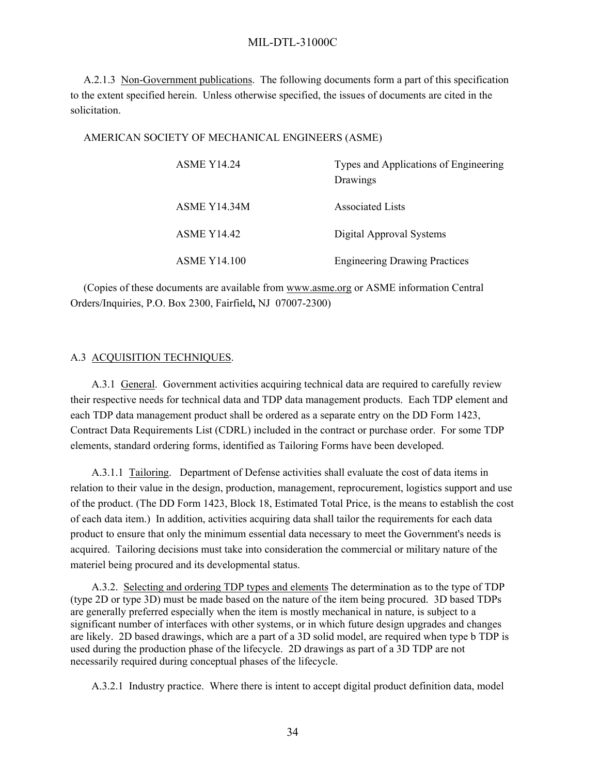A.2.1.3 Non-Government publications. The following documents form a part of this specification to the extent specified herein. Unless otherwise specified, the issues of documents are cited in the solicitation.

#### AMERICAN SOCIETY OF MECHANICAL ENGINEERS (ASME)

| <b>ASME Y14.24</b>  | Types and Applications of Engineering<br>Drawings |
|---------------------|---------------------------------------------------|
| ASME Y14.34M        | <b>Associated Lists</b>                           |
| <b>ASME Y14.42</b>  | Digital Approval Systems                          |
| <b>ASME Y14.100</b> | <b>Engineering Drawing Practices</b>              |

(Copies of these documents are available from ww[w.asme.org](http://www.asme.org/) or ASME information Central Orders/Inquiries, P.O. Box 2300, Fairfield**,** NJ 07007-2300)

#### A.3 ACQUISITION TECHNIQUES.

A.3.1 General. Government activities acquiring technical data are required to carefully review their respective needs for technical data and TDP data management products. Each TDP element and each TDP data management product shall be ordered as a separate entry on the DD Form 1423, Contract Data Requirements List (CDRL) included in the contract or purchase order. For some TDP elements, standard ordering forms, identified as Tailoring Forms have been developed.

A.3.1.1 Tailoring. Department of Defense activities shall evaluate the cost of data items in relation to their value in the design, production, management, reprocurement, logistics support and use of the product. (The DD Form 1423, Block 18, Estimated Total Price, is the means to establish the cost of each data item.) In addition, activities acquiring data shall tailor the requirements for each data product to ensure that only the minimum essential data necessary to meet the Government's needs is acquired. Tailoring decisions must take into consideration the commercial or military nature of the materiel being procured and its developmental status.

A.3.2. Selecting and ordering TDP types and elements The determination as to the type of TDP (type 2D or type 3D) must be made based on the nature of the item being procured. 3D based TDPs are generally preferred especially when the item is mostly mechanical in nature, is subject to a significant number of interfaces with other systems, or in which future design upgrades and changes are likely. 2D based drawings, which are a part of a 3D solid model, are required when type b TDP is used during the production phase of the lifecycle. 2D drawings as part of a 3D TDP are not necessarily required during conceptual phases of the lifecycle.

A.3.2.1 Industry practice. Where there is intent to accept digital product definition data, model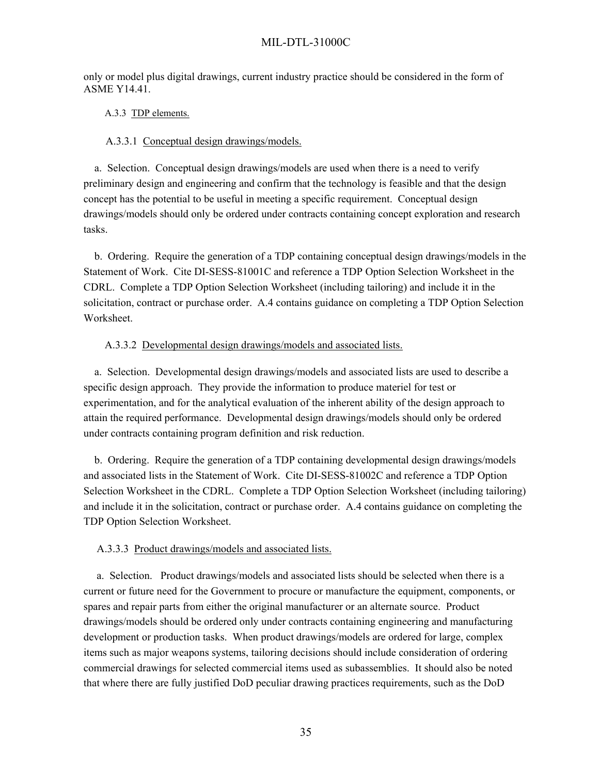only or model plus digital drawings, current industry practice should be considered in the form of ASME Y14.41.

### A.3.3 TDP elements.

#### A.3.3.1 Conceptual design drawings/models.

 a. Selection. Conceptual design drawings/models are used when there is a need to verify preliminary design and engineering and confirm that the technology is feasible and that the design concept has the potential to be useful in meeting a specific requirement. Conceptual design drawings/models should only be ordered under contracts containing concept exploration and research tasks.

 b. Ordering. Require the generation of a TDP containing conceptual design drawings/models in the Statement of Work. Cite DI-SESS-81001C and reference a TDP Option Selection Worksheet in the CDRL. Complete a TDP Option Selection Worksheet (including tailoring) and include it in the solicitation, contract or purchase order. A.4 contains guidance on completing a TDP Option Selection Worksheet.

### A.3.3.2 Developmental design drawings/models and associated lists.

 a. Selection. Developmental design drawings/models and associated lists are used to describe a specific design approach. They provide the information to produce materiel for test or experimentation, and for the analytical evaluation of the inherent ability of the design approach to attain the required performance. Developmental design drawings/models should only be ordered under contracts containing program definition and risk reduction.

 b. Ordering. Require the generation of a TDP containing developmental design drawings/models and associated lists in the Statement of Work. Cite DI-SESS-81002C and reference a TDP Option Selection Worksheet in the CDRL. Complete a TDP Option Selection Worksheet (including tailoring) and include it in the solicitation, contract or purchase order. A.4 contains guidance on completing the TDP Option Selection Worksheet.

#### A.3.3.3 Product drawings/models and associated lists.

a. Selection. Product drawings/models and associated lists should be selected when there is a current or future need for the Government to procure or manufacture the equipment, components, or spares and repair parts from either the original manufacturer or an alternate source. Product drawings/models should be ordered only under contracts containing engineering and manufacturing development or production tasks. When product drawings/models are ordered for large, complex items such as major weapons systems, tailoring decisions should include consideration of ordering commercial drawings for selected commercial items used as subassemblies. It should also be noted that where there are fully justified DoD peculiar drawing practices requirements, such as the DoD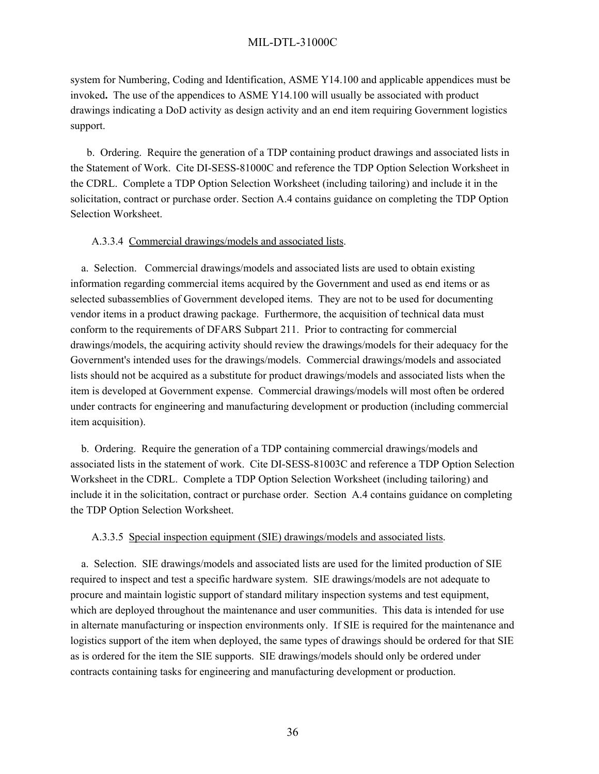system for Numbering, Coding and Identification, ASME Y14.100 and applicable appendices must be invoked**.** The use of the appendices to ASME Y14.100 will usually be associated with product drawings indicating a DoD activity as design activity and an end item requiring Government logistics support.

 b. Ordering. Require the generation of a TDP containing product drawings and associated lists in the Statement of Work. Cite DI-SESS-81000C and reference the TDP Option Selection Worksheet in the CDRL. Complete a TDP Option Selection Worksheet (including tailoring) and include it in the solicitation, contract or purchase order. Section A.4 contains guidance on completing the TDP Option Selection Worksheet.

### A.3.3.4 Commercial drawings/models and associated lists.

 a. Selection. Commercial drawings/models and associated lists are used to obtain existing information regarding commercial items acquired by the Government and used as end items or as selected subassemblies of Government developed items. They are not to be used for documenting vendor items in a product drawing package. Furthermore, the acquisition of technical data must conform to the requirements of DFARS Subpart 211. Prior to contracting for commercial drawings/models, the acquiring activity should review the drawings/models for their adequacy for the Government's intended uses for the drawings/models. Commercial drawings/models and associated lists should not be acquired as a substitute for product drawings/models and associated lists when the item is developed at Government expense. Commercial drawings/models will most often be ordered under contracts for engineering and manufacturing development or production (including commercial item acquisition).

 b. Ordering. Require the generation of a TDP containing commercial drawings/models and associated lists in the statement of work. Cite DI-SESS-81003C and reference a TDP Option Selection Worksheet in the CDRL. Complete a TDP Option Selection Worksheet (including tailoring) and include it in the solicitation, contract or purchase order. Section A.4 contains guidance on completing the TDP Option Selection Worksheet.

#### A.3.3.5 Special inspection equipment (SIE) drawings/models and associated lists.

 a. Selection. SIE drawings/models and associated lists are used for the limited production of SIE required to inspect and test a specific hardware system. SIE drawings/models are not adequate to procure and maintain logistic support of standard military inspection systems and test equipment, which are deployed throughout the maintenance and user communities. This data is intended for use in alternate manufacturing or inspection environments only. If SIE is required for the maintenance and logistics support of the item when deployed, the same types of drawings should be ordered for that SIE as is ordered for the item the SIE supports. SIE drawings/models should only be ordered under contracts containing tasks for engineering and manufacturing development or production.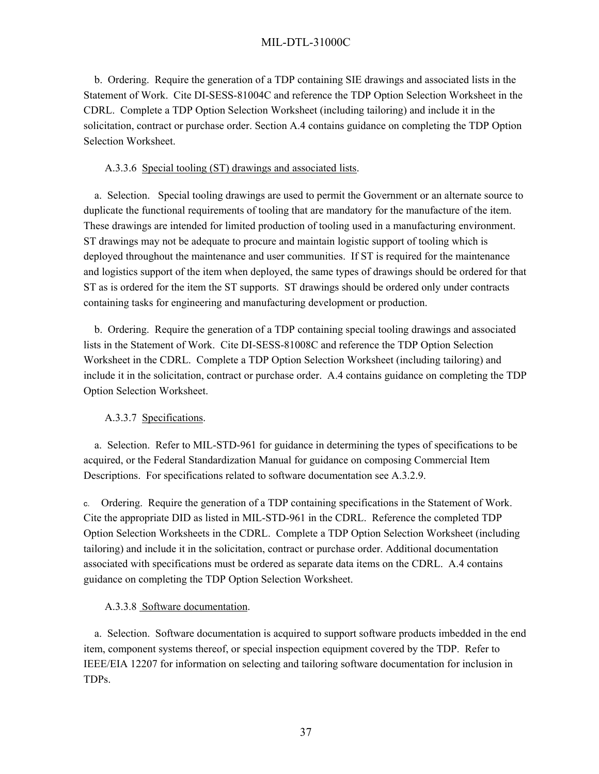b. Ordering. Require the generation of a TDP containing SIE drawings and associated lists in the Statement of Work. Cite DI-SESS-81004C and reference the TDP Option Selection Worksheet in the CDRL. Complete a TDP Option Selection Worksheet (including tailoring) and include it in the solicitation, contract or purchase order. Section A.4 contains guidance on completing the TDP Option Selection Worksheet.

### A.3.3.6 Special tooling (ST) drawings and associated lists.

 a. Selection. Special tooling drawings are used to permit the Government or an alternate source to duplicate the functional requirements of tooling that are mandatory for the manufacture of the item. These drawings are intended for limited production of tooling used in a manufacturing environment. ST drawings may not be adequate to procure and maintain logistic support of tooling which is deployed throughout the maintenance and user communities. If ST is required for the maintenance and logistics support of the item when deployed, the same types of drawings should be ordered for that ST as is ordered for the item the ST supports. ST drawings should be ordered only under contracts containing tasks for engineering and manufacturing development or production.

 b. Ordering. Require the generation of a TDP containing special tooling drawings and associated lists in the Statement of Work. Cite DI-SESS-81008C and reference the TDP Option Selection Worksheet in the CDRL. Complete a TDP Option Selection Worksheet (including tailoring) and include it in the solicitation, contract or purchase order. A.4 contains guidance on completing the TDP Option Selection Worksheet.

## A.3.3.7 Specifications.

 a. Selection. Refer to MIL-STD-961 for guidance in determining the types of specifications to be acquired, or the Federal Standardization Manual for guidance on composing Commercial Item Descriptions. For specifications related to software documentation see A.3.2.9.

c. Ordering. Require the generation of a TDP containing specifications in the Statement of Work. Cite the appropriate DID as listed in MIL-STD-961 in the CDRL. Reference the completed TDP Option Selection Worksheets in the CDRL. Complete a TDP Option Selection Worksheet (including tailoring) and include it in the solicitation, contract or purchase order. Additional documentation associated with specifications must be ordered as separate data items on the CDRL. A.4 contains guidance on completing the TDP Option Selection Worksheet.

## A.3.3.8 Software documentation.

 a. Selection. Software documentation is acquired to support software products imbedded in the end item, component systems thereof, or special inspection equipment covered by the TDP. Refer to IEEE/EIA 12207 for information on selecting and tailoring software documentation for inclusion in TDPs.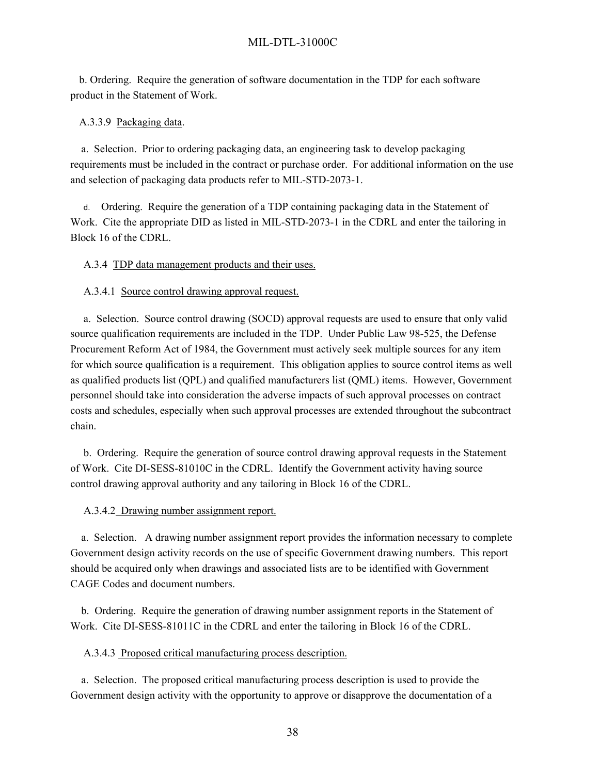b. Ordering. Require the generation of software documentation in the TDP for each software product in the Statement of Work.

#### A.3.3.9 Packaging data.

 a. Selection. Prior to ordering packaging data, an engineering task to develop packaging requirements must be included in the contract or purchase order. For additional information on the use and selection of packaging data products refer to MIL-STD-2073-1.

d. Ordering. Require the generation of a TDP containing packaging data in the Statement of Work. Cite the appropriate DID as listed in MIL-STD-2073-1 in the CDRL and enter the tailoring in Block 16 of the CDRL.

A.3.4 TDP data management products and their uses.

A.3.4.1 Source control drawing approval request.

a. Selection. Source control drawing (SOCD) approval requests are used to ensure that only valid source qualification requirements are included in the TDP. Under Public Law 98-525, the Defense Procurement Reform Act of 1984, the Government must actively seek multiple sources for any item for which source qualification is a requirement. This obligation applies to source control items as well as qualified products list (QPL) and qualified manufacturers list (QML) items. However, Government personnel should take into consideration the adverse impacts of such approval processes on contract costs and schedules, especially when such approval processes are extended throughout the subcontract chain.

b. Ordering. Require the generation of source control drawing approval requests in the Statement of Work. Cite DI-SESS-81010C in the CDRL. Identify the Government activity having source control drawing approval authority and any tailoring in Block 16 of the CDRL.

A.3.4.2 Drawing number assignment report.

 a. Selection. A drawing number assignment report provides the information necessary to complete Government design activity records on the use of specific Government drawing numbers. This report should be acquired only when drawings and associated lists are to be identified with Government CAGE Codes and document numbers.

 b. Ordering. Require the generation of drawing number assignment reports in the Statement of Work. Cite DI-SESS-81011C in the CDRL and enter the tailoring in Block 16 of the CDRL.

A.3.4.3 Proposed critical manufacturing process description.

 a. Selection. The proposed critical manufacturing process description is used to provide the Government design activity with the opportunity to approve or disapprove the documentation of a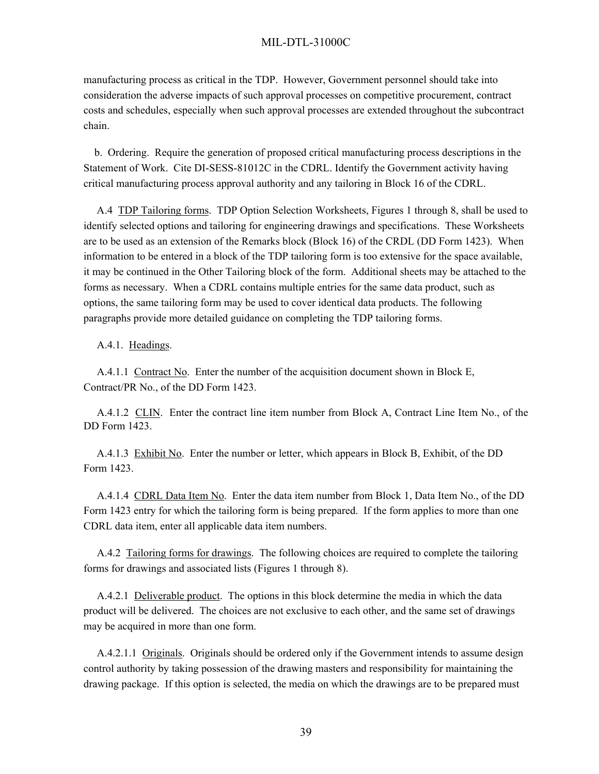manufacturing process as critical in the TDP. However, Government personnel should take into consideration the adverse impacts of such approval processes on competitive procurement, contract costs and schedules, especially when such approval processes are extended throughout the subcontract chain.

 b. Ordering. Require the generation of proposed critical manufacturing process descriptions in the Statement of Work. Cite DI-SESS-81012C in the CDRL. Identify the Government activity having critical manufacturing process approval authority and any tailoring in Block 16 of the CDRL.

A.4 TDP Tailoring forms. TDP Option Selection Worksheets, Figures 1 through 8, shall be used to identify selected options and tailoring for engineering drawings and specifications. These Worksheets are to be used as an extension of the Remarks block (Block 16) of the CRDL (DD Form 1423). When information to be entered in a block of the TDP tailoring form is too extensive for the space available, it may be continued in the Other Tailoring block of the form. Additional sheets may be attached to the forms as necessary. When a CDRL contains multiple entries for the same data product, such as options, the same tailoring form may be used to cover identical data products. The following paragraphs provide more detailed guidance on completing the TDP tailoring forms.

#### A.4.1. Headings.

A.4.1.1 Contract No. Enter the number of the acquisition document shown in Block E, Contract/PR No., of the DD Form 1423.

A.4.1.2 CLIN. Enter the contract line item number from Block A, Contract Line Item No., of the DD Form 1423.

A.4.1.3 Exhibit No. Enter the number or letter, which appears in Block B, Exhibit, of the DD Form 1423.

A.4.1.4 CDRL Data Item No. Enter the data item number from Block 1, Data Item No., of the DD Form 1423 entry for which the tailoring form is being prepared. If the form applies to more than one CDRL data item, enter all applicable data item numbers.

A.4.2 Tailoring forms for drawings. The following choices are required to complete the tailoring forms for drawings and associated lists (Figures 1 through 8).

A.4.2.1 Deliverable product. The options in this block determine the media in which the data product will be delivered. The choices are not exclusive to each other, and the same set of drawings may be acquired in more than one form.

A.4.2.1.1 Originals. Originals should be ordered only if the Government intends to assume design control authority by taking possession of the drawing masters and responsibility for maintaining the drawing package. If this option is selected, the media on which the drawings are to be prepared must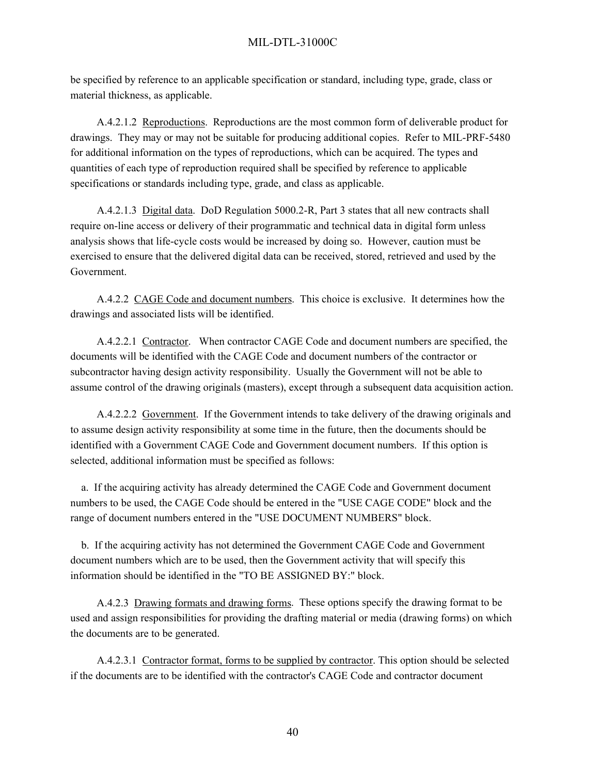be specified by reference to an applicable specification or standard, including type, grade, class or material thickness, as applicable.

A.4.2.1.2 Reproductions. Reproductions are the most common form of deliverable product for drawings. They may or may not be suitable for producing additional copies. Refer to MIL-PRF-5480 for additional information on the types of reproductions, which can be acquired. The types and quantities of each type of reproduction required shall be specified by reference to applicable specifications or standards including type, grade, and class as applicable.

A.4.2.1.3 Digital data. DoD Regulation 5000.2-R, Part 3 states that all new contracts shall require on-line access or delivery of their programmatic and technical data in digital form unless analysis shows that life-cycle costs would be increased by doing so. However, caution must be exercised to ensure that the delivered digital data can be received, stored, retrieved and used by the Government.

A.4.2.2 CAGE Code and document numbers. This choice is exclusive. It determines how the drawings and associated lists will be identified.

A.4.2.2.1 Contractor. When contractor CAGE Code and document numbers are specified, the documents will be identified with the CAGE Code and document numbers of the contractor or subcontractor having design activity responsibility. Usually the Government will not be able to assume control of the drawing originals (masters), except through a subsequent data acquisition action.

A.4.2.2.2 Government. If the Government intends to take delivery of the drawing originals and to assume design activity responsibility at some time in the future, then the documents should be identified with a Government CAGE Code and Government document numbers. If this option is selected, additional information must be specified as follows:

 a. If the acquiring activity has already determined the CAGE Code and Government document numbers to be used, the CAGE Code should be entered in the "USE CAGE CODE" block and the range of document numbers entered in the "USE DOCUMENT NUMBERS" block.

 b. If the acquiring activity has not determined the Government CAGE Code and Government document numbers which are to be used, then the Government activity that will specify this information should be identified in the "TO BE ASSIGNED BY:" block.

A.4.2.3 Drawing formats and drawing forms. These options specify the drawing format to be used and assign responsibilities for providing the drafting material or media (drawing forms) on which the documents are to be generated.

A.4.2.3.1 Contractor format, forms to be supplied by contractor. This option should be selected if the documents are to be identified with the contractor's CAGE Code and contractor document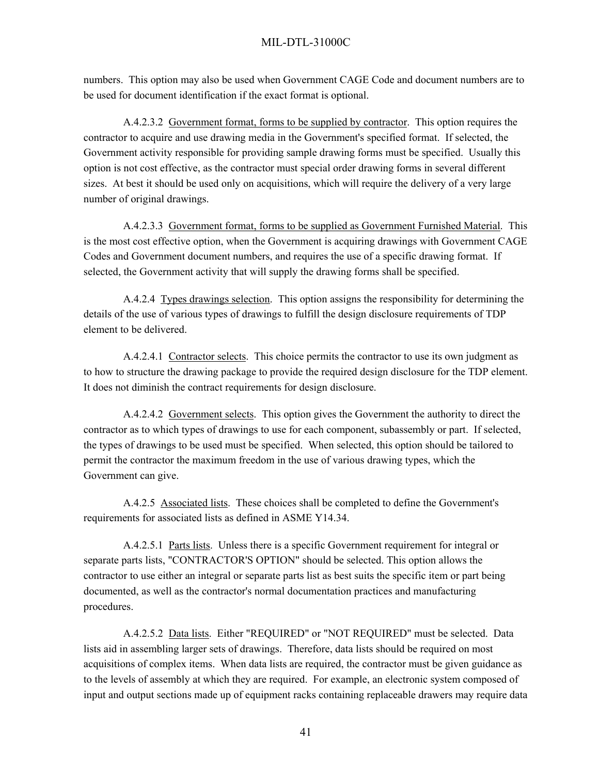numbers. This option may also be used when Government CAGE Code and document numbers are to be used for document identification if the exact format is optional.

A.4.2.3.2 Government format, forms to be supplied by contractor. This option requires the contractor to acquire and use drawing media in the Government's specified format. If selected, the Government activity responsible for providing sample drawing forms must be specified. Usually this option is not cost effective, as the contractor must special order drawing forms in several different sizes. At best it should be used only on acquisitions, which will require the delivery of a very large number of original drawings.

A.4.2.3.3 Government format, forms to be supplied as Government Furnished Material. This is the most cost effective option, when the Government is acquiring drawings with Government CAGE Codes and Government document numbers, and requires the use of a specific drawing format. If selected, the Government activity that will supply the drawing forms shall be specified.

A.4.2.4 Types drawings selection. This option assigns the responsibility for determining the details of the use of various types of drawings to fulfill the design disclosure requirements of TDP element to be delivered.

A.4.2.4.1 Contractor selects. This choice permits the contractor to use its own judgment as to how to structure the drawing package to provide the required design disclosure for the TDP element. It does not diminish the contract requirements for design disclosure.

A.4.2.4.2 Government selects. This option gives the Government the authority to direct the contractor as to which types of drawings to use for each component, subassembly or part. If selected, the types of drawings to be used must be specified. When selected, this option should be tailored to permit the contractor the maximum freedom in the use of various drawing types, which the Government can give.

A.4.2.5 Associated lists. These choices shall be completed to define the Government's requirements for associated lists as defined in ASME Y14.34.

A.4.2.5.1 Parts lists. Unless there is a specific Government requirement for integral or separate parts lists, "CONTRACTOR'S OPTION" should be selected. This option allows the contractor to use either an integral or separate parts list as best suits the specific item or part being documented, as well as the contractor's normal documentation practices and manufacturing procedures.

A.4.2.5.2 Data lists. Either "REQUIRED" or "NOT REQUIRED" must be selected. Data lists aid in assembling larger sets of drawings. Therefore, data lists should be required on most acquisitions of complex items. When data lists are required, the contractor must be given guidance as to the levels of assembly at which they are required. For example, an electronic system composed of input and output sections made up of equipment racks containing replaceable drawers may require data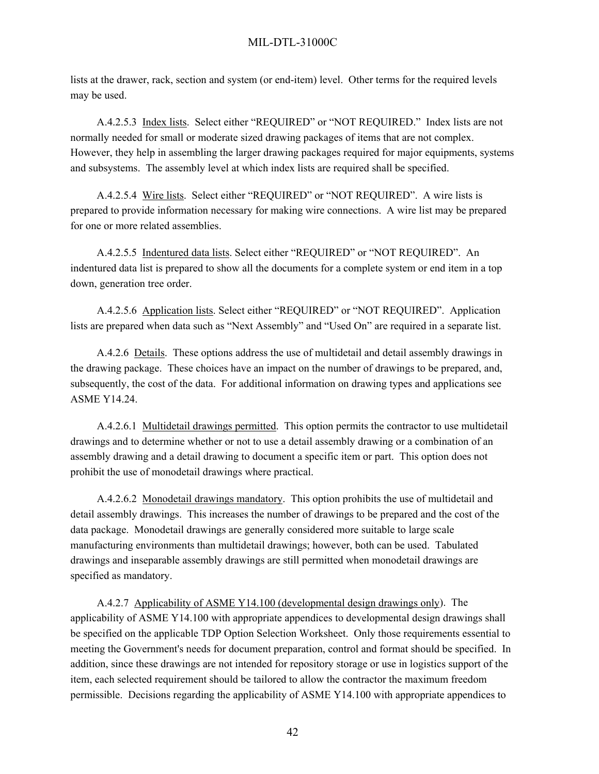lists at the drawer, rack, section and system (or end-item) level. Other terms for the required levels may be used.

A.4.2.5.3 Index lists. Select either "REQUIRED" or "NOT REQUIRED." Index lists are not normally needed for small or moderate sized drawing packages of items that are not complex. However, they help in assembling the larger drawing packages required for major equipments, systems and subsystems. The assembly level at which index lists are required shall be specified.

A.4.2.5.4 Wire lists. Select either "REQUIRED" or "NOT REQUIRED". A wire lists is prepared to provide information necessary for making wire connections. A wire list may be prepared for one or more related assemblies.

A.4.2.5.5 Indentured data lists. Select either "REQUIRED" or "NOT REQUIRED". An indentured data list is prepared to show all the documents for a complete system or end item in a top down, generation tree order.

A.4.2.5.6 Application lists. Select either "REQUIRED" or "NOT REQUIRED". Application lists are prepared when data such as "Next Assembly" and "Used On" are required in a separate list.

A.4.2.6 Details. These options address the use of multidetail and detail assembly drawings in the drawing package. These choices have an impact on the number of drawings to be prepared, and, subsequently, the cost of the data. For additional information on drawing types and applications see ASME Y14.24.

A.4.2.6.1 Multidetail drawings permitted. This option permits the contractor to use multidetail drawings and to determine whether or not to use a detail assembly drawing or a combination of an assembly drawing and a detail drawing to document a specific item or part. This option does not prohibit the use of monodetail drawings where practical.

A.4.2.6.2 Monodetail drawings mandatory. This option prohibits the use of multidetail and detail assembly drawings. This increases the number of drawings to be prepared and the cost of the data package. Monodetail drawings are generally considered more suitable to large scale manufacturing environments than multidetail drawings; however, both can be used. Tabulated drawings and inseparable assembly drawings are still permitted when monodetail drawings are specified as mandatory.

A.4.2.7 Applicability of ASME Y14.100 (developmental design drawings only). The applicability of ASME Y14.100 with appropriate appendices to developmental design drawings shall be specified on the applicable TDP Option Selection Worksheet. Only those requirements essential to meeting the Government's needs for document preparation, control and format should be specified. In addition, since these drawings are not intended for repository storage or use in logistics support of the item, each selected requirement should be tailored to allow the contractor the maximum freedom permissible. Decisions regarding the applicability of ASME Y14.100 with appropriate appendices to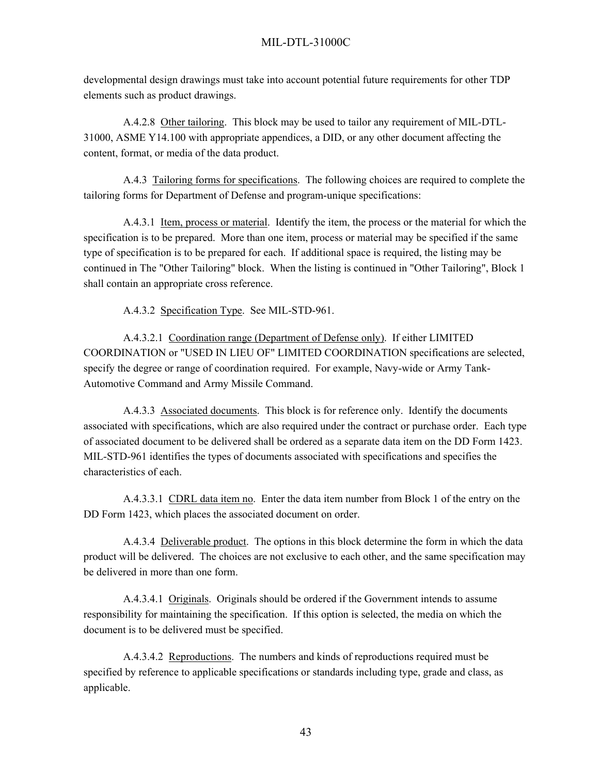developmental design drawings must take into account potential future requirements for other TDP elements such as product drawings.

A.4.2.8 Other tailoring. This block may be used to tailor any requirement of MIL-DTL-31000, ASME Y14.100 with appropriate appendices, a DID, or any other document affecting the content, format, or media of the data product.

A.4.3 Tailoring forms for specifications. The following choices are required to complete the tailoring forms for Department of Defense and program-unique specifications:

A.4.3.1 Item, process or material. Identify the item, the process or the material for which the specification is to be prepared. More than one item, process or material may be specified if the same type of specification is to be prepared for each. If additional space is required, the listing may be continued in The "Other Tailoring" block. When the listing is continued in "Other Tailoring", Block 1 shall contain an appropriate cross reference.

A.4.3.2 Specification Type. See MIL-STD-961.

A.4.3.2.1 Coordination range (Department of Defense only). If either LIMITED COORDINATION or "USED IN LIEU OF" LIMITED COORDINATION specifications are selected, specify the degree or range of coordination required. For example, Navy-wide or Army Tank-Automotive Command and Army Missile Command.

A.4.3.3 Associated documents. This block is for reference only. Identify the documents associated with specifications, which are also required under the contract or purchase order. Each type of associated document to be delivered shall be ordered as a separate data item on the DD Form 1423. MIL-STD-961 identifies the types of documents associated with specifications and specifies the characteristics of each.

A.4.3.3.1 CDRL data item no. Enter the data item number from Block 1 of the entry on the DD Form 1423, which places the associated document on order.

A.4.3.4 Deliverable product. The options in this block determine the form in which the data product will be delivered. The choices are not exclusive to each other, and the same specification may be delivered in more than one form.

A.4.3.4.1 Originals. Originals should be ordered if the Government intends to assume responsibility for maintaining the specification. If this option is selected, the media on which the document is to be delivered must be specified.

A.4.3.4.2 Reproductions. The numbers and kinds of reproductions required must be specified by reference to applicable specifications or standards including type, grade and class, as applicable.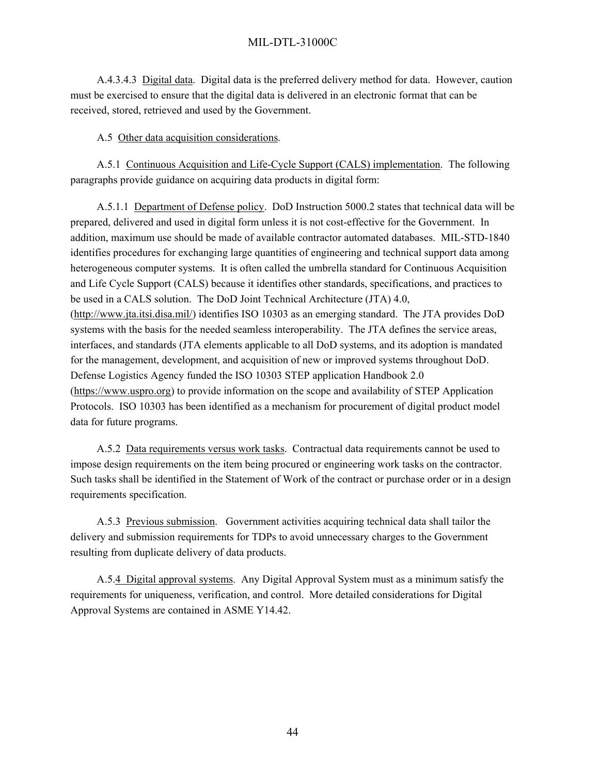A.4.3.4.3 Digital data. Digital data is the preferred delivery method for data. However, caution must be exercised to ensure that the digital data is delivered in an electronic format that can be received, stored, retrieved and used by the Government.

### A.5 Other data acquisition considerations.

A.5.1 Continuous Acquisition and Life-Cycle Support (CALS) implementation. The following paragraphs provide guidance on acquiring data products in digital form:

A.5.1.1 Department of Defense policy. DoD Instruction 5000.2 states that technical data will be prepared, delivered and used in digital form unless it is not cost-effective for the Government. In addition, maximum use should be made of available contractor automated databases. MIL-STD-1840 identifies procedures for exchanging large quantities of engineering and technical support data among heterogeneous computer systems. It is often called the umbrella standard for Continuous Acquisition and Life Cycle Support (CALS) because it identifies other standards, specifications, and practices to be used in a CALS solution. The DoD Joint Technical Architecture (JTA) 4.0, ([http://www.jta.itsi.disa.mil/\)](http://www.jta.itsi.disa.mil/) identifies ISO 10303 as an emerging standard. The JTA provides DoD systems with the basis for the needed seamless interoperability. The JTA defines the service areas, interfaces, and standards (JTA elements applicable to all DoD systems, and its adoption is mandated for the management, development, and acquisition of new or improved systems throughout DoD. Defense Logistics Agency funded the ISO 10303 STEP application Handbook 2.0 ([https://www.uspro.org\)](https://www.uspro.org/) to provide information on the scope and availability of STEP Application Protocols. ISO 10303 has been identified as a mechanism for procurement of digital product model data for future programs.

A.5.2 Data requirements versus work tasks. Contractual data requirements cannot be used to impose design requirements on the item being procured or engineering work tasks on the contractor. Such tasks shall be identified in the Statement of Work of the contract or purchase order or in a design requirements specification.

A.5.3 Previous submission. Government activities acquiring technical data shall tailor the delivery and submission requirements for TDPs to avoid unnecessary charges to the Government resulting from duplicate delivery of data products.

A.5.4 Digital approval systems. Any Digital Approval System must as a minimum satisfy the requirements for uniqueness, verification, and control. More detailed considerations for Digital Approval Systems are contained in ASME Y14.42.